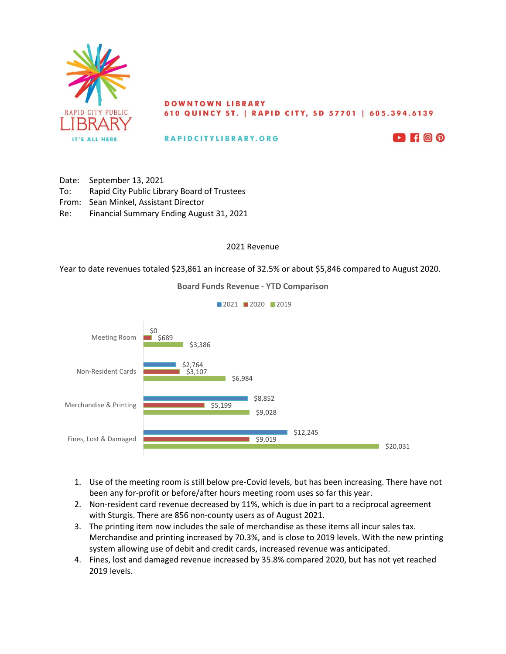

## **DOWNTOWN LIBRARY** 610 QUINCY ST. | RAPID CITY, SD 57701 | 605.394.6139

RAPIDCITYLIBRARY.ORG



Date: September 13, 2021 To: Rapid City Public Library Board of Trustees From: Sean Minkel, Assistant Director Re: Financial Summary Ending August 31, 2021

## 2021 Revenue

Year to date revenues totaled \$23,861 an increase of 32.5% or about \$5,846 compared to August 2020.

**Board Funds Revenue - YTD Comparison**



- 1. Use of the meeting room is still below pre-Covid levels, but has been increasing. There have not been any for-profit or before/after hours meeting room uses so far this year.
- 2. Non-resident card revenue decreased by 11%, which is due in part to a reciprocal agreement with Sturgis. There are 856 non-county users as of August 2021.
- 3. The printing item now includes the sale of merchandise as these items all incur sales tax. Merchandise and printing increased by 70.3%, and is close to 2019 levels. With the new printing system allowing use of debit and credit cards, increased revenue was anticipated.
- 4. Fines, lost and damaged revenue increased by 35.8% compared 2020, but has not yet reached 2019 levels.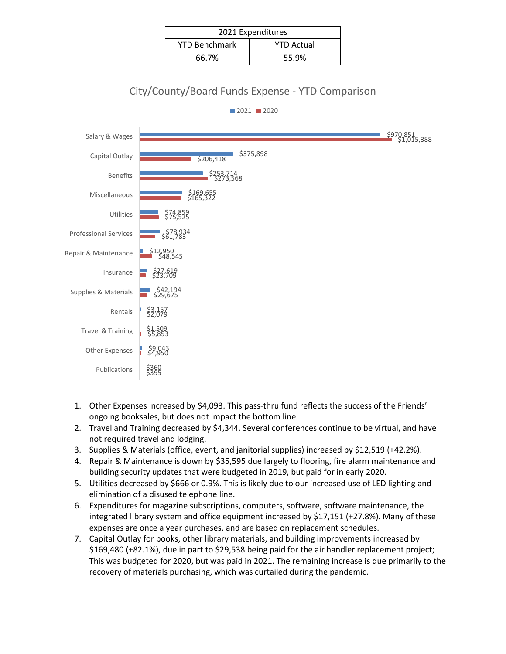| 2021 Expenditures    |                   |  |  |  |
|----------------------|-------------------|--|--|--|
| <b>YTD Benchmark</b> | <b>YTD Actual</b> |  |  |  |
| 66.7%                | 55.9%             |  |  |  |

## City/County/Board Funds Expense - YTD Comparison



- 1. Other Expenses increased by \$4,093. This pass-thru fund reflects the success of the Friends' ongoing booksales, but does not impact the bottom line.
- 2. Travel and Training decreased by \$4,344. Several conferences continue to be virtual, and have not required travel and lodging.
- 3. Supplies & Materials (office, event, and janitorial supplies) increased by \$12,519 (+42.2%).
- 4. Repair & Maintenance is down by \$35,595 due largely to flooring, fire alarm maintenance and building security updates that were budgeted in 2019, but paid for in early 2020.
- 5. Utilities decreased by \$666 or 0.9%. This is likely due to our increased use of LED lighting and elimination of a disused telephone line.
- 6. Expenditures for magazine subscriptions, computers, software, software maintenance, the integrated library system and office equipment increased by \$17,151 (+27.8%). Many of these expenses are once a year purchases, and are based on replacement schedules.
- 7. Capital Outlay for books, other library materials, and building improvements increased by \$169,480 (+82.1%), due in part to \$29,538 being paid for the air handler replacement project; This was budgeted for 2020, but was paid in 2021. The remaining increase is due primarily to the recovery of materials purchasing, which was curtailed during the pandemic.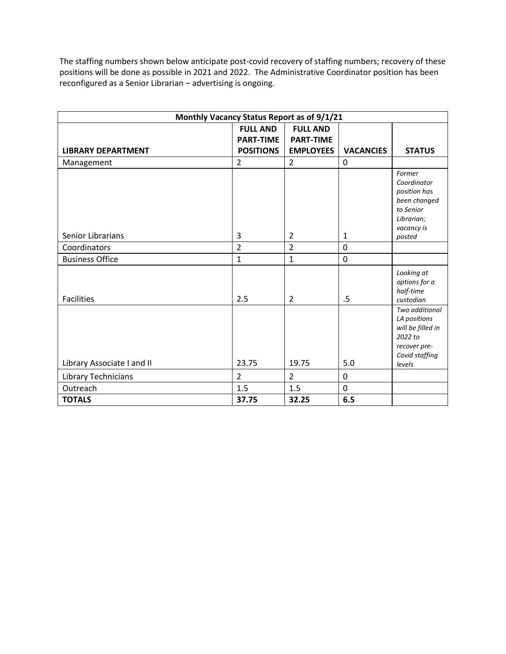The staffing numbers shown below anticipate post-covid recovery of staffing numbers; recovery of these positions will be done as possible in 2021 and 2022. The Administrative Coordinator position has been reconfigured as a Senior Librarian – advertising is ongoing.

| Monthly Vacancy Status Report as of 9/1/21 |                  |                  |                  |                                                                                                            |  |  |  |
|--------------------------------------------|------------------|------------------|------------------|------------------------------------------------------------------------------------------------------------|--|--|--|
|                                            | <b>FULL AND</b>  | <b>FULL AND</b>  |                  |                                                                                                            |  |  |  |
|                                            | <b>PART-TIME</b> | <b>PART-TIME</b> |                  |                                                                                                            |  |  |  |
| <b>LIBRARY DEPARTMENT</b>                  | <b>POSITIONS</b> | <b>EMPLOYEES</b> | <b>VACANCIES</b> | <b>STATUS</b>                                                                                              |  |  |  |
| Management                                 | $\overline{2}$   | $\overline{2}$   | 0                |                                                                                                            |  |  |  |
|                                            |                  |                  |                  | Former<br>Coordinator<br>position has<br>been changed<br>to Senior<br>Librarian;<br>vacancy is             |  |  |  |
| Senior Librarians                          | 3                | $\overline{2}$   | 1                | posted                                                                                                     |  |  |  |
| Coordinators                               | $\overline{2}$   | $\overline{2}$   | $\mathbf 0$      |                                                                                                            |  |  |  |
| <b>Business Office</b>                     | $\mathbf{1}$     | $\mathbf{1}$     | $\mathbf 0$      |                                                                                                            |  |  |  |
| <b>Facilities</b>                          | 2.5              | $\overline{2}$   | .5               | Looking at<br>options for a<br>half-time<br>custodian                                                      |  |  |  |
| Library Associate I and II                 | 23.75            | 19.75            | 5.0              | Two additional<br>LA positions<br>will be filled in<br>2022 to<br>recover pre-<br>Covid staffing<br>levels |  |  |  |
|                                            |                  |                  |                  |                                                                                                            |  |  |  |
| Library Technicians                        | $\overline{2}$   | $\overline{2}$   | 0                |                                                                                                            |  |  |  |
| Outreach                                   | 1.5              | 1.5              | 0                |                                                                                                            |  |  |  |
| <b>TOTALS</b>                              | 37.75            | 32.25            | 6.5              |                                                                                                            |  |  |  |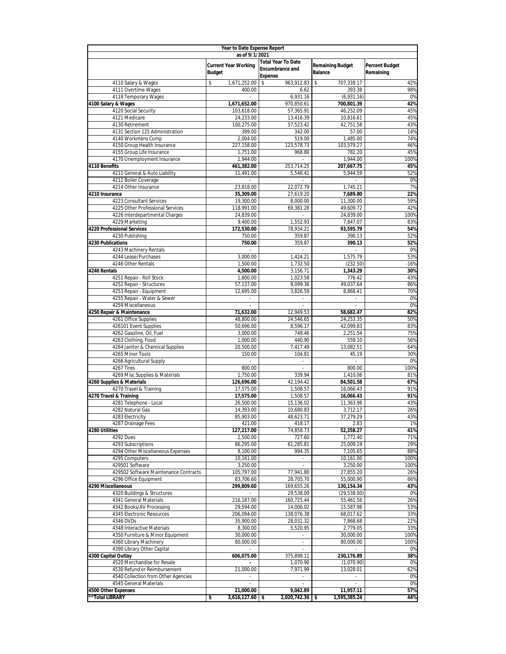|                                                              | <b>Year to Date Expense Report</b>           |                                          |                                           |                                    |  |  |  |  |
|--------------------------------------------------------------|----------------------------------------------|------------------------------------------|-------------------------------------------|------------------------------------|--|--|--|--|
|                                                              | as of 9/1/2021                               | <b>Total Year To Date</b>                |                                           |                                    |  |  |  |  |
|                                                              | <b>Current Year Working</b><br><b>Budget</b> | <b>Encumbrance and</b><br><b>Expense</b> | <b>Remaining Budget</b><br><b>Balance</b> | <b>Percent Budget</b><br>Remaining |  |  |  |  |
| 4110 Salary & Wages                                          | \$<br>1,671,252.00                           | 963,912.83<br>\$                         | 707,339.17<br>\$                          | 42%                                |  |  |  |  |
| 4111 Overtime Wages                                          | 400.00                                       | 6.62                                     | 393.38                                    | 98%                                |  |  |  |  |
| 4118 Temporary Wages                                         | $\overline{\phantom{a}}$                     | 6,931.16                                 | (6,931.16)                                | 0%                                 |  |  |  |  |
| 4100 Salary & Wages                                          | 1,671,652.00                                 | 970,850.61                               | 700,801.39                                | 42%                                |  |  |  |  |
| 4120 Social Security<br>4121 Medicare                        | 103,618.00<br>24,233.00                      | 57,365.91<br>13,416.39                   | 46,252.09<br>10,816.61                    | 45%<br>45%                         |  |  |  |  |
| 4130 Retirement                                              | 100,275.00                                   | 57,523.42                                | 42,751.58                                 | 43%                                |  |  |  |  |
| 4131 Section 125 Administration                              | 399.00                                       | 342.00                                   | 57.00                                     | 14%                                |  |  |  |  |
| 4140 Workmens Comp                                           | 2,004.00                                     | 519.00                                   | 1,485.00                                  | 74%                                |  |  |  |  |
| 4150 Group Health Insurance                                  | 227,158.00                                   | 123,578.73                               | 103,579.27                                | 46%                                |  |  |  |  |
| 4155 Group Life Insurance<br>4170 Unemployment Insurance     | 1,751.00<br>1,944.00                         | 968.80<br>$\sim$                         | 782.20<br>1,944.00                        | 45%<br>100%                        |  |  |  |  |
| 4110 Benefits                                                | 461,382.00                                   | 253,714.25                               | 207,667.75                                | 45%                                |  |  |  |  |
| 4211 General & Auto Liability                                | 11,491.00                                    | 5,546.41                                 | 5,944.59                                  | 52%                                |  |  |  |  |
| 4212 Boiler Coverage                                         |                                              |                                          |                                           | 0%                                 |  |  |  |  |
| 4214 Other Insurance                                         | 23,818.00                                    | 22,072.79                                | 1,745.21                                  | 7%                                 |  |  |  |  |
| 4210 Insurance                                               | 35,309.00                                    | 27,619.20                                | 7,689.80                                  | 22%                                |  |  |  |  |
| 4223 Consultant Services<br>4225 Other Professional Services | 19,300.00                                    | 8,000.00                                 | 11,300.00                                 | 59%                                |  |  |  |  |
| 4226 Interdepartmental Charges                               | 118,991.00<br>24,839.00                      | 69,381.28<br>$\sim$                      | 49,609.72<br>24,839.00                    | 42%<br>100%                        |  |  |  |  |
| 4229 Marketing                                               | 9,400.00                                     | 1.552.93                                 | 7,847.07                                  | 83%                                |  |  |  |  |
| <b>4220 Professional Services</b>                            | 172,530.00                                   | 78,934.21                                | 93,595.79                                 | 54%                                |  |  |  |  |
| 4230 Publishing                                              | 750.00                                       | 359.87                                   | 390.13                                    | 52%                                |  |  |  |  |
| <b>4230 Publications</b>                                     | 750.00                                       | 359.87                                   | 390.13                                    | 52%                                |  |  |  |  |
| 4243 Machinery Rentals<br>4244 Lease/Purchases               | 3,000.00                                     | 1,424.21                                 | 1,575.79                                  | 0%<br>53%                          |  |  |  |  |
| 4246 Other Rentals                                           | 1,500.00                                     | 1,732.50                                 | (232.50)                                  | $-16%$                             |  |  |  |  |
| 4240 Rentals                                                 | 4,500.00                                     | 3,156.71                                 | 1,343.29                                  | 30%                                |  |  |  |  |
| 4251 Repair - Roll Stock                                     | 1,800.00                                     | 1,023.58                                 | 776.42                                    | 43%                                |  |  |  |  |
| 4252 Repair - Structures                                     | 57,137.00                                    | 8,099.36                                 | 49,037.64                                 | 86%                                |  |  |  |  |
| 4253 Repair - Equipment                                      | 12,695.00                                    | 3,826.59                                 | 8,868.41                                  | 70%                                |  |  |  |  |
| 4255 Repair - Water & Sewer<br>4259 Miscellaneous            | $\overline{\phantom{a}}$<br>$\omega$         | $\sim$<br>$\omega$                       | $\overline{\phantom{a}}$<br>$\sim$        | 0%<br>0%                           |  |  |  |  |
| 4250 Repair & Maintenance                                    | 71,632.00                                    | 12,949.53                                | 58,682.47                                 | 82%                                |  |  |  |  |
| 4261 Office Supplies                                         | 48,800.00                                    | 24,546.65                                | 24,253.35                                 | 50%                                |  |  |  |  |
| 426101 Event Supplies                                        | 50,696.00                                    | 8,596.17                                 | 42,099.83                                 | 83%                                |  |  |  |  |
| 4262 Gasoline, Oil, Fuel                                     | 3,000.00                                     | 748.46                                   | 2,251.54                                  | 75%                                |  |  |  |  |
| 4263 Clothing, Food<br>4264 Janitor & Chemical Supplies      | 1,000.00<br>20,500.00                        | 440.90<br>7,417.49                       | 559.10<br>13,082.51                       | 56%<br>64%                         |  |  |  |  |
| 4265 Minor Tools                                             | 150.00                                       | 104.81                                   | 45.19                                     | 30%                                |  |  |  |  |
| 4266 Agricultural Supply                                     |                                              | $\sim$                                   |                                           | 0%                                 |  |  |  |  |
| 4267 Tires                                                   | 800.00                                       | ×                                        | 800.00                                    | 100%                               |  |  |  |  |
| 4269 Misc Supplies & Materials                               | 1,750.00                                     | 339.94                                   | 1,410.06                                  | 81%                                |  |  |  |  |
| 4260 Supplies & Materials                                    | 126,696.00                                   | 42,194.42                                | 84,501.58                                 | 67%                                |  |  |  |  |
| 4270 Travel & Training<br>4270 Travel & Training             | 17,575.00<br>17,575.00                       | 1,508.57<br>1,508.57                     | 16,066.43<br>16,066.43                    | 91%<br>91%                         |  |  |  |  |
| 4281 Telephone - Local                                       | 26,500.00                                    | 15,136.02                                | 11,363.98                                 | 43%                                |  |  |  |  |
| 4282 Natural Gas                                             | 14,393.00                                    | 10,680.83                                | 3,712.17                                  | 26%                                |  |  |  |  |
| 4283 Electricity                                             | 85,903.00                                    | 48,623.71                                | 31,219.29                                 | 43%                                |  |  |  |  |
| 4287 Drainage Fees                                           | 421.00                                       | 418.17                                   | 2.83                                      | 1%                                 |  |  |  |  |
| <b>4280 Utilities</b>                                        | 127,217.00                                   | 74,858.73                                | 52,358.27                                 | 41%                                |  |  |  |  |
| 4292 Dues<br>4293 Subscriptions                              | 2,500.00<br>86,295.00                        | 727.60<br>61,285.81                      | 1,772.40<br>25,009.19                     | 71%<br>29%                         |  |  |  |  |
| 4294 Other Miscellaneous Expenses                            | 8,100.00                                     | 994.35                                   | 7,105.65                                  | 88%                                |  |  |  |  |
| 4295 Computers                                               | 10,161.00                                    | ÷.                                       | 10,161.00                                 | 100%                               |  |  |  |  |
| 429501 Software                                              | 3,250.00                                     |                                          | 3,250.00                                  | 100%                               |  |  |  |  |
| 429502 Software Maintenance Contracts                        | 105,797.00                                   | 77,941.80                                | 27,855.20                                 | 26%                                |  |  |  |  |
| 4296 Office Equipment                                        | 83,706.60                                    | 28,705.70                                | 55,000.90                                 | 66%                                |  |  |  |  |
| 4290 Miscellaneous<br>4320 Buildings & Structures            | 299,809.60                                   | 169,655.26<br>29,538.00                  | 130,154.34<br>(29, 538.00)                | 43%<br>0%                          |  |  |  |  |
| 4341 General Materials                                       | 216,187.00                                   | 160,725.44                               | 55,461.56                                 | 26%                                |  |  |  |  |
| 4342 Books/AV Processing                                     | 29,594.00                                    | 14,006.02                                | 15,587.98                                 | 53%                                |  |  |  |  |
| 4345 Electronic Resources                                    | 206,094.00                                   | 138,076.38                               | 68,017.62                                 | 33%                                |  |  |  |  |
| 4346 DVDs                                                    | 35,900.00                                    | 28,031.32                                | 7,868.68                                  | 22%                                |  |  |  |  |
| 4348 Interactive Materials                                   | 8,300.00                                     | 5,520.95                                 | 2,779.05                                  | 33%                                |  |  |  |  |
| 4350 Furniture & Minor Equipment<br>4360 Library Machinery   | 30,000.00<br>80,000.00                       |                                          | 30,000.00<br>80,000.00                    | 100%<br>100%                       |  |  |  |  |
| 4390 Library Other Capital                                   | $\overline{\phantom{a}}$                     | $\sim$                                   | ä,                                        | 0%                                 |  |  |  |  |
| 4300 Capital Outlay                                          | 606,075.00                                   | 375,898.11                               | 230,176.89                                | 38%                                |  |  |  |  |
| 4520 Merchandise for Resale                                  |                                              | 1,070.90                                 | (1,070.90)                                | 0%                                 |  |  |  |  |
| 4530 Refund or Reimbursement                                 | 21,000.00                                    | 7,971.99                                 | 13,028.01                                 | 62%                                |  |  |  |  |
| 4540 Collection from Other Agencies                          |                                              |                                          |                                           | 0%<br>0%                           |  |  |  |  |
| 4545 General Materials<br>4500 Other Expenses                | 21,000.00                                    | 9,042.89                                 | 11,957.11                                 | 57%                                |  |  |  |  |
| **Total LIBRARY                                              | 3,616,127.60<br>\$                           | $2,020,742.36$ \$<br>\$                  | 1,595,385.24                              | 44%                                |  |  |  |  |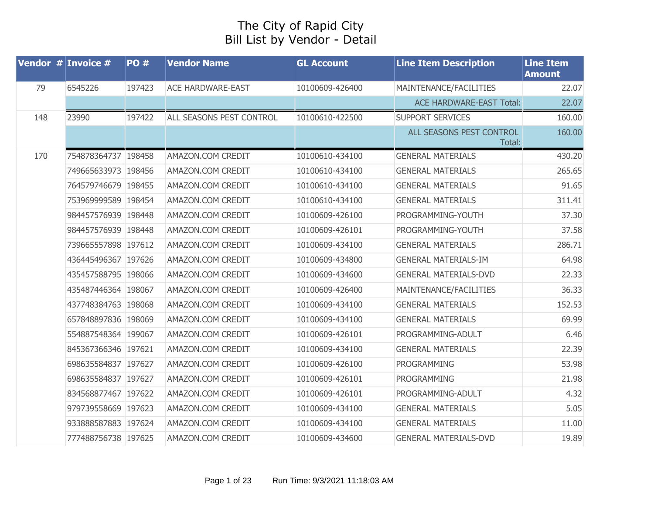## The City of Rapid City Bill List by Vendor - Detail

|     | Vendor $#$ Invoice $#$ | <b>PO#</b> | <b>Vendor Name</b>       | <b>GL Account</b> | <b>Line Item Description</b>       | <b>Line Item</b><br><b>Amount</b> |
|-----|------------------------|------------|--------------------------|-------------------|------------------------------------|-----------------------------------|
| 79  | 6545226                | 197423     | <b>ACE HARDWARE-EAST</b> | 10100609-426400   | MAINTENANCE/FACILITIES             | 22.07                             |
|     |                        |            |                          |                   | <b>ACE HARDWARE-EAST Total:</b>    | 22.07                             |
| 148 | 23990                  | 197422     | ALL SEASONS PEST CONTROL | 10100610-422500   | <b>SUPPORT SERVICES</b>            | 160.00                            |
|     |                        |            |                          |                   | ALL SEASONS PEST CONTROL<br>Total: | 160.00                            |
| 170 | 754878364737 198458    |            | AMAZON.COM CREDIT        | 10100610-434100   | <b>GENERAL MATERIALS</b>           | 430.20                            |
|     | 749665633973 198456    |            | AMAZON.COM CREDIT        | 10100610-434100   | <b>GENERAL MATERIALS</b>           | 265.65                            |
|     | 764579746679 198455    |            | AMAZON.COM CREDIT        | 10100610-434100   | <b>GENERAL MATERIALS</b>           | 91.65                             |
|     | 753969999589 198454    |            | AMAZON.COM CREDIT        | 10100610-434100   | <b>GENERAL MATERIALS</b>           | 311.41                            |
|     | 984457576939 198448    |            | AMAZON.COM CREDIT        | 10100609-426100   | PROGRAMMING-YOUTH                  | 37.30                             |
|     | 984457576939 198448    |            | AMAZON.COM CREDIT        | 10100609-426101   | PROGRAMMING-YOUTH                  | 37.58                             |
|     | 739665557898 197612    |            | AMAZON.COM CREDIT        | 10100609-434100   | <b>GENERAL MATERIALS</b>           | 286.71                            |
|     | 436445496367 197626    |            | AMAZON.COM CREDIT        | 10100609-434800   | <b>GENERAL MATERIALS-IM</b>        | 64.98                             |
|     | 435457588795 198066    |            | AMAZON.COM CREDIT        | 10100609-434600   | <b>GENERAL MATERIALS-DVD</b>       | 22.33                             |
|     | 435487446364 198067    |            | AMAZON.COM CREDIT        | 10100609-426400   | MAINTENANCE/FACILITIES             | 36.33                             |
|     | 437748384763 198068    |            | AMAZON.COM CREDIT        | 10100609-434100   | <b>GENERAL MATERIALS</b>           | 152.53                            |
|     | 657848897836 198069    |            | AMAZON.COM CREDIT        | 10100609-434100   | <b>GENERAL MATERIALS</b>           | 69.99                             |
|     | 554887548364 199067    |            | AMAZON.COM CREDIT        | 10100609-426101   | PROGRAMMING-ADULT                  | 6.46                              |
|     | 845367366346 197621    |            | AMAZON.COM CREDIT        | 10100609-434100   | <b>GENERAL MATERIALS</b>           | 22.39                             |
|     | 698635584837 197627    |            | AMAZON.COM CREDIT        | 10100609-426100   | PROGRAMMING                        | 53.98                             |
|     | 698635584837 197627    |            | AMAZON.COM CREDIT        | 10100609-426101   | PROGRAMMING                        | 21.98                             |
|     | 834568877467 197622    |            | AMAZON.COM CREDIT        | 10100609-426101   | PROGRAMMING-ADULT                  | 4.32                              |
|     | 979739558669 197623    |            | AMAZON.COM CREDIT        | 10100609-434100   | <b>GENERAL MATERIALS</b>           | 5.05                              |
|     | 933888587883 197624    |            | AMAZON.COM CREDIT        | 10100609-434100   | <b>GENERAL MATERIALS</b>           | 11.00                             |
|     | 777488756738 197625    |            | AMAZON.COM CREDIT        | 10100609-434600   | <b>GENERAL MATERIALS-DVD</b>       | 19.89                             |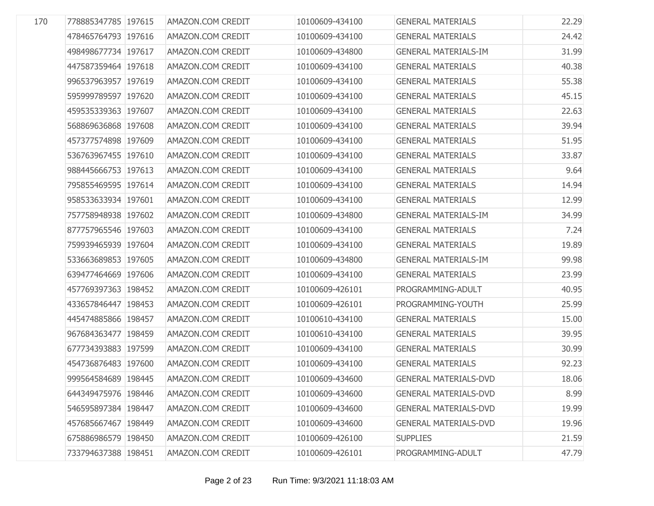| 170 | 778885347785 197615 | AMAZON.COM CREDIT | 10100609-434100 | <b>GENERAL MATERIALS</b>     | 22.29 |
|-----|---------------------|-------------------|-----------------|------------------------------|-------|
|     | 478465764793 197616 | AMAZON.COM CREDIT | 10100609-434100 | <b>GENERAL MATERIALS</b>     | 24.42 |
|     | 498498677734 197617 | AMAZON.COM CREDIT | 10100609-434800 | <b>GENERAL MATERIALS-IM</b>  | 31.99 |
|     | 447587359464 197618 | AMAZON.COM CREDIT | 10100609-434100 | <b>GENERAL MATERIALS</b>     | 40.38 |
|     | 996537963957 197619 | AMAZON.COM CREDIT | 10100609-434100 | <b>GENERAL MATERIALS</b>     | 55.38 |
|     | 595999789597 197620 | AMAZON.COM CREDIT | 10100609-434100 | <b>GENERAL MATERIALS</b>     | 45.15 |
|     | 459535339363 197607 | AMAZON.COM CREDIT | 10100609-434100 | <b>GENERAL MATERIALS</b>     | 22.63 |
|     | 568869636868 197608 | AMAZON.COM CREDIT | 10100609-434100 | <b>GENERAL MATERIALS</b>     | 39.94 |
|     | 457377574898 197609 | AMAZON.COM CREDIT | 10100609-434100 | <b>GENERAL MATERIALS</b>     | 51.95 |
|     | 536763967455 197610 | AMAZON.COM CREDIT | 10100609-434100 | <b>GENERAL MATERIALS</b>     | 33.87 |
|     | 988445666753 197613 | AMAZON.COM CREDIT | 10100609-434100 | <b>GENERAL MATERIALS</b>     | 9.64  |
|     | 795855469595 197614 | AMAZON.COM CREDIT | 10100609-434100 | <b>GENERAL MATERIALS</b>     | 14.94 |
|     | 958533633934 197601 | AMAZON.COM CREDIT | 10100609-434100 | <b>GENERAL MATERIALS</b>     | 12.99 |
|     | 757758948938 197602 | AMAZON.COM CREDIT | 10100609-434800 | <b>GENERAL MATERIALS-IM</b>  | 34.99 |
|     | 877757965546 197603 | AMAZON.COM CREDIT | 10100609-434100 | <b>GENERAL MATERIALS</b>     | 7.24  |
|     | 759939465939 197604 | AMAZON.COM CREDIT | 10100609-434100 | <b>GENERAL MATERIALS</b>     | 19.89 |
|     | 533663689853 197605 | AMAZON.COM CREDIT | 10100609-434800 | <b>GENERAL MATERIALS-IM</b>  | 99.98 |
|     | 639477464669 197606 | AMAZON.COM CREDIT | 10100609-434100 | <b>GENERAL MATERIALS</b>     | 23.99 |
|     | 457769397363 198452 | AMAZON.COM CREDIT | 10100609-426101 | PROGRAMMING-ADULT            | 40.95 |
|     | 433657846447 198453 | AMAZON.COM CREDIT | 10100609-426101 | PROGRAMMING-YOUTH            | 25.99 |
|     | 445474885866 198457 | AMAZON.COM CREDIT | 10100610-434100 | <b>GENERAL MATERIALS</b>     | 15.00 |
|     | 967684363477 198459 | AMAZON.COM CREDIT | 10100610-434100 | <b>GENERAL MATERIALS</b>     | 39.95 |
|     | 677734393883 197599 | AMAZON.COM CREDIT | 10100609-434100 | <b>GENERAL MATERIALS</b>     | 30.99 |
|     | 454736876483 197600 | AMAZON.COM CREDIT | 10100609-434100 | <b>GENERAL MATERIALS</b>     | 92.23 |
|     | 999564584689 198445 | AMAZON.COM CREDIT | 10100609-434600 | <b>GENERAL MATERIALS-DVD</b> | 18.06 |
|     | 644349475976 198446 | AMAZON.COM CREDIT | 10100609-434600 | <b>GENERAL MATERIALS-DVD</b> | 8.99  |
|     | 546595897384 198447 | AMAZON.COM CREDIT | 10100609-434600 | <b>GENERAL MATERIALS-DVD</b> | 19.99 |
|     | 457685667467 198449 | AMAZON.COM CREDIT | 10100609-434600 | <b>GENERAL MATERIALS-DVD</b> | 19.96 |
|     | 675886986579 198450 | AMAZON.COM CREDIT | 10100609-426100 | <b>SUPPLIES</b>              | 21.59 |
|     | 733794637388 198451 | AMAZON.COM CREDIT | 10100609-426101 | PROGRAMMING-ADULT            | 47.79 |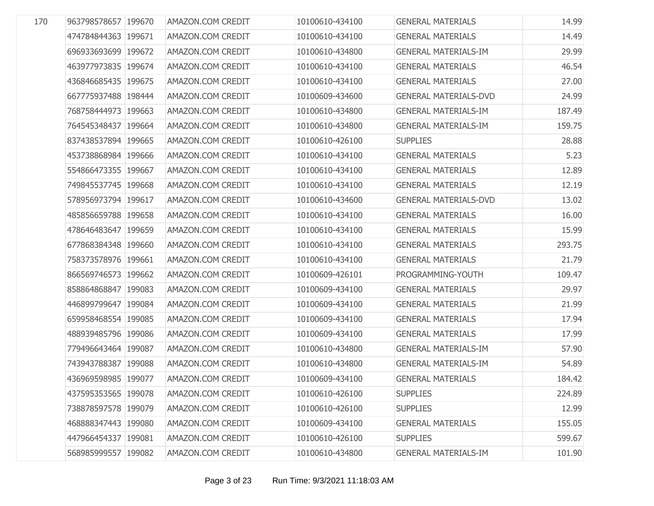| 170 | 963798578657 199670 | AMAZON.COM CREDIT | 10100610-434100 | <b>GENERAL MATERIALS</b>     | 14.99  |
|-----|---------------------|-------------------|-----------------|------------------------------|--------|
|     | 474784844363 199671 | AMAZON.COM CREDIT | 10100610-434100 | <b>GENERAL MATERIALS</b>     | 14.49  |
|     | 696933693699 199672 | AMAZON.COM CREDIT | 10100610-434800 | <b>GENERAL MATERIALS-IM</b>  | 29.99  |
|     | 463977973835 199674 | AMAZON.COM CREDIT | 10100610-434100 | <b>GENERAL MATERIALS</b>     | 46.54  |
|     | 436846685435 199675 | AMAZON.COM CREDIT | 10100610-434100 | <b>GENERAL MATERIALS</b>     | 27.00  |
|     | 667775937488 198444 | AMAZON.COM CREDIT | 10100609-434600 | <b>GENERAL MATERIALS-DVD</b> | 24.99  |
|     | 768758444973 199663 | AMAZON.COM CREDIT | 10100610-434800 | <b>GENERAL MATERIALS-IM</b>  | 187.49 |
|     | 764545348437 199664 | AMAZON.COM CREDIT | 10100610-434800 | <b>GENERAL MATERIALS-IM</b>  | 159.75 |
|     | 837438537894 199665 | AMAZON.COM CREDIT | 10100610-426100 | <b>SUPPLIES</b>              | 28.88  |
|     | 453738868984 199666 | AMAZON.COM CREDIT | 10100610-434100 | <b>GENERAL MATERIALS</b>     | 5.23   |
|     | 554866473355 199667 | AMAZON.COM CREDIT | 10100610-434100 | <b>GENERAL MATERIALS</b>     | 12.89  |
|     | 749845537745 199668 | AMAZON.COM CREDIT | 10100610-434100 | <b>GENERAL MATERIALS</b>     | 12.19  |
|     | 578956973794 199617 | AMAZON.COM CREDIT | 10100610-434600 | <b>GENERAL MATERIALS-DVD</b> | 13.02  |
|     | 485856659788 199658 | AMAZON.COM CREDIT | 10100610-434100 | <b>GENERAL MATERIALS</b>     | 16.00  |
|     | 478646483647 199659 | AMAZON.COM CREDIT | 10100610-434100 | <b>GENERAL MATERIALS</b>     | 15.99  |
|     | 677868384348 199660 | AMAZON.COM CREDIT | 10100610-434100 | <b>GENERAL MATERIALS</b>     | 293.75 |
|     | 758373578976 199661 | AMAZON.COM CREDIT | 10100610-434100 | <b>GENERAL MATERIALS</b>     | 21.79  |
|     | 866569746573 199662 | AMAZON.COM CREDIT | 10100609-426101 | PROGRAMMING-YOUTH            | 109.47 |
|     | 858864868847 199083 | AMAZON.COM CREDIT | 10100609-434100 | <b>GENERAL MATERIALS</b>     | 29.97  |
|     | 446899799647 199084 | AMAZON.COM CREDIT | 10100609-434100 | <b>GENERAL MATERIALS</b>     | 21.99  |
|     | 659958468554 199085 | AMAZON.COM CREDIT | 10100609-434100 | <b>GENERAL MATERIALS</b>     | 17.94  |
|     | 488939485796 199086 | AMAZON.COM CREDIT | 10100609-434100 | <b>GENERAL MATERIALS</b>     | 17.99  |
|     | 779496643464 199087 | AMAZON.COM CREDIT | 10100610-434800 | <b>GENERAL MATERIALS-IM</b>  | 57.90  |
|     | 743943788387 199088 | AMAZON.COM CREDIT | 10100610-434800 | <b>GENERAL MATERIALS-IM</b>  | 54.89  |
|     | 436969598985 199077 | AMAZON.COM CREDIT | 10100609-434100 | <b>GENERAL MATERIALS</b>     | 184.42 |
|     | 437595353565 199078 | AMAZON.COM CREDIT | 10100610-426100 | <b>SUPPLIES</b>              | 224.89 |
|     | 738878597578 199079 | AMAZON.COM CREDIT | 10100610-426100 | <b>SUPPLIES</b>              | 12.99  |
|     | 468888347443 199080 | AMAZON.COM CREDIT | 10100609-434100 | <b>GENERAL MATERIALS</b>     | 155.05 |
|     | 447966454337 199081 | AMAZON.COM CREDIT | 10100610-426100 | <b>SUPPLIES</b>              | 599.67 |
|     | 568985999557 199082 | AMAZON.COM CREDIT | 10100610-434800 | <b>GENERAL MATERIALS-IM</b>  | 101.90 |
|     |                     |                   |                 |                              |        |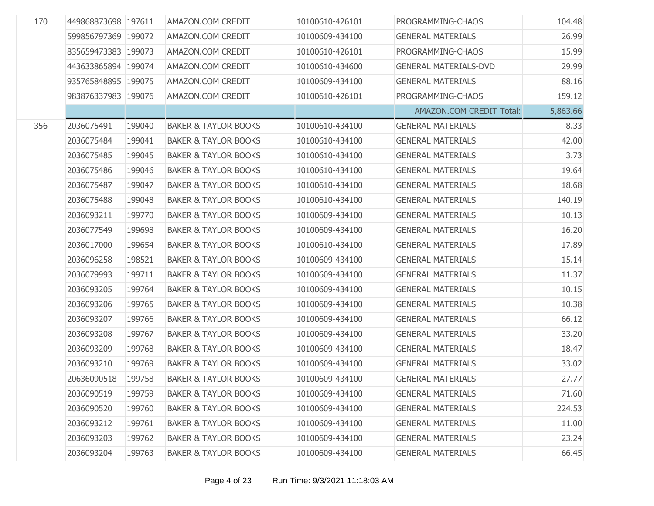| 170 | 449868873698 197611 |        | AMAZON.COM CREDIT               | 10100610-426101 | PROGRAMMING-CHAOS            | 104.48   |
|-----|---------------------|--------|---------------------------------|-----------------|------------------------------|----------|
|     | 599856797369 199072 |        | AMAZON.COM CREDIT               | 10100609-434100 | <b>GENERAL MATERIALS</b>     | 26.99    |
|     | 835659473383 199073 |        | AMAZON.COM CREDIT               | 10100610-426101 | PROGRAMMING-CHAOS            | 15.99    |
|     | 443633865894 199074 |        | AMAZON.COM CREDIT               | 10100610-434600 | <b>GENERAL MATERIALS-DVD</b> | 29.99    |
|     | 935765848895 199075 |        | AMAZON.COM CREDIT               | 10100609-434100 | <b>GENERAL MATERIALS</b>     | 88.16    |
|     | 983876337983 199076 |        | AMAZON.COM CREDIT               | 10100610-426101 | PROGRAMMING-CHAOS            | 159.12   |
|     |                     |        |                                 |                 | AMAZON.COM CREDIT Total:     | 5,863.66 |
| 356 | 2036075491          | 199040 | <b>BAKER &amp; TAYLOR BOOKS</b> | 10100610-434100 | <b>GENERAL MATERIALS</b>     | 8.33     |
|     | 2036075484          | 199041 | <b>BAKER &amp; TAYLOR BOOKS</b> | 10100610-434100 | <b>GENERAL MATERIALS</b>     | 42.00    |
|     | 2036075485          | 199045 | <b>BAKER &amp; TAYLOR BOOKS</b> | 10100610-434100 | <b>GENERAL MATERIALS</b>     | 3.73     |
|     | 2036075486          | 199046 | <b>BAKER &amp; TAYLOR BOOKS</b> | 10100610-434100 | <b>GENERAL MATERIALS</b>     | 19.64    |
|     | 2036075487          | 199047 | <b>BAKER &amp; TAYLOR BOOKS</b> | 10100610-434100 | <b>GENERAL MATERIALS</b>     | 18.68    |
|     | 2036075488          | 199048 | <b>BAKER &amp; TAYLOR BOOKS</b> | 10100610-434100 | <b>GENERAL MATERIALS</b>     | 140.19   |
|     | 2036093211          | 199770 | <b>BAKER &amp; TAYLOR BOOKS</b> | 10100609-434100 | <b>GENERAL MATERIALS</b>     | 10.13    |
|     | 2036077549          | 199698 | <b>BAKER &amp; TAYLOR BOOKS</b> | 10100609-434100 | <b>GENERAL MATERIALS</b>     | 16.20    |
|     | 2036017000          | 199654 | <b>BAKER &amp; TAYLOR BOOKS</b> | 10100610-434100 | <b>GENERAL MATERIALS</b>     | 17.89    |
|     | 2036096258          | 198521 | <b>BAKER &amp; TAYLOR BOOKS</b> | 10100609-434100 | <b>GENERAL MATERIALS</b>     | 15.14    |
|     | 2036079993          | 199711 | <b>BAKER &amp; TAYLOR BOOKS</b> | 10100609-434100 | <b>GENERAL MATERIALS</b>     | 11.37    |
|     | 2036093205          | 199764 | <b>BAKER &amp; TAYLOR BOOKS</b> | 10100609-434100 | <b>GENERAL MATERIALS</b>     | 10.15    |
|     | 2036093206          | 199765 | <b>BAKER &amp; TAYLOR BOOKS</b> | 10100609-434100 | <b>GENERAL MATERIALS</b>     | 10.38    |
|     | 2036093207          | 199766 | <b>BAKER &amp; TAYLOR BOOKS</b> | 10100609-434100 | <b>GENERAL MATERIALS</b>     | 66.12    |
|     | 2036093208          | 199767 | <b>BAKER &amp; TAYLOR BOOKS</b> | 10100609-434100 | <b>GENERAL MATERIALS</b>     | 33.20    |
|     | 2036093209          | 199768 | <b>BAKER &amp; TAYLOR BOOKS</b> | 10100609-434100 | <b>GENERAL MATERIALS</b>     | 18.47    |
|     | 2036093210          | 199769 | <b>BAKER &amp; TAYLOR BOOKS</b> | 10100609-434100 | <b>GENERAL MATERIALS</b>     | 33.02    |
|     | 20636090518         | 199758 | <b>BAKER &amp; TAYLOR BOOKS</b> | 10100609-434100 | <b>GENERAL MATERIALS</b>     | 27.77    |
|     | 2036090519          | 199759 | <b>BAKER &amp; TAYLOR BOOKS</b> | 10100609-434100 | <b>GENERAL MATERIALS</b>     | 71.60    |
|     | 2036090520          | 199760 | <b>BAKER &amp; TAYLOR BOOKS</b> | 10100609-434100 | <b>GENERAL MATERIALS</b>     | 224.53   |
|     | 2036093212          | 199761 | <b>BAKER &amp; TAYLOR BOOKS</b> | 10100609-434100 | <b>GENERAL MATERIALS</b>     | 11.00    |
|     | 2036093203          | 199762 | <b>BAKER &amp; TAYLOR BOOKS</b> | 10100609-434100 | <b>GENERAL MATERIALS</b>     | 23.24    |
|     | 2036093204          | 199763 | <b>BAKER &amp; TAYLOR BOOKS</b> | 10100609-434100 | <b>GENERAL MATERIALS</b>     | 66.45    |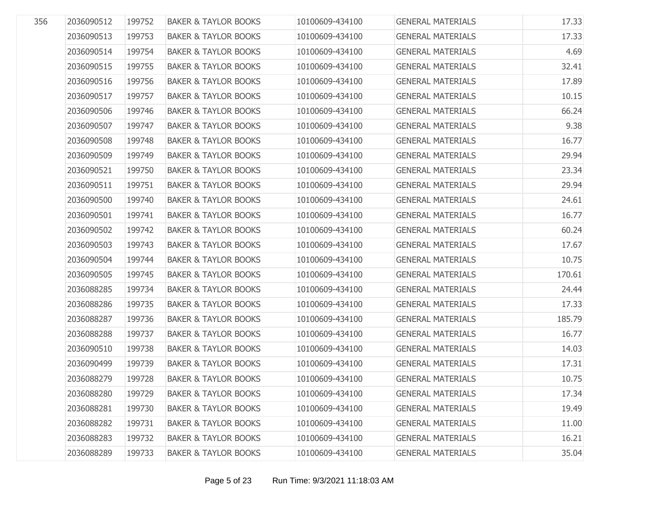| 17.33  |
|--------|
| 17.33  |
| 4.69   |
| 32.41  |
| 17.89  |
| 10.15  |
| 66.24  |
| 9.38   |
| 16.77  |
| 29.94  |
| 23.34  |
| 29.94  |
| 24.61  |
| 16.77  |
| 60.24  |
| 17.67  |
| 10.75  |
| 170.61 |
| 24.44  |
| 17.33  |
| 185.79 |
| 16.77  |
| 14.03  |
| 17.31  |
| 10.75  |
| 17.34  |
| 19.49  |
| 11.00  |
| 16.21  |
| 35.04  |
|        |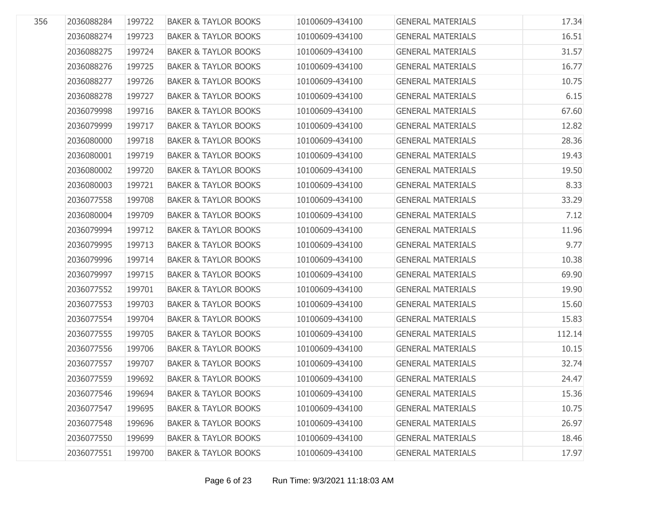| 356 | 2036088284 | 199722 | <b>BAKER &amp; TAYLOR BOOKS</b> | 10100609-434100 | <b>GENERAL MATERIALS</b> | 17.34  |
|-----|------------|--------|---------------------------------|-----------------|--------------------------|--------|
|     | 2036088274 | 199723 | <b>BAKER &amp; TAYLOR BOOKS</b> | 10100609-434100 | <b>GENERAL MATERIALS</b> | 16.51  |
|     | 2036088275 | 199724 | <b>BAKER &amp; TAYLOR BOOKS</b> | 10100609-434100 | <b>GENERAL MATERIALS</b> | 31.57  |
|     | 2036088276 | 199725 | <b>BAKER &amp; TAYLOR BOOKS</b> | 10100609-434100 | <b>GENERAL MATERIALS</b> | 16.77  |
|     |            |        |                                 |                 |                          |        |
|     | 2036088277 | 199726 | <b>BAKER &amp; TAYLOR BOOKS</b> | 10100609-434100 | <b>GENERAL MATERIALS</b> | 10.75  |
|     | 2036088278 | 199727 | <b>BAKER &amp; TAYLOR BOOKS</b> | 10100609-434100 | <b>GENERAL MATERIALS</b> | 6.15   |
|     | 2036079998 | 199716 | <b>BAKER &amp; TAYLOR BOOKS</b> | 10100609-434100 | <b>GENERAL MATERIALS</b> | 67.60  |
|     | 2036079999 | 199717 | <b>BAKER &amp; TAYLOR BOOKS</b> | 10100609-434100 | <b>GENERAL MATERIALS</b> | 12.82  |
|     | 2036080000 | 199718 | <b>BAKER &amp; TAYLOR BOOKS</b> | 10100609-434100 | <b>GENERAL MATERIALS</b> | 28.36  |
|     | 2036080001 | 199719 | <b>BAKER &amp; TAYLOR BOOKS</b> | 10100609-434100 | <b>GENERAL MATERIALS</b> | 19.43  |
|     | 2036080002 | 199720 | <b>BAKER &amp; TAYLOR BOOKS</b> | 10100609-434100 | <b>GENERAL MATERIALS</b> | 19.50  |
|     | 2036080003 | 199721 | <b>BAKER &amp; TAYLOR BOOKS</b> | 10100609-434100 | <b>GENERAL MATERIALS</b> | 8.33   |
|     | 2036077558 | 199708 | <b>BAKER &amp; TAYLOR BOOKS</b> | 10100609-434100 | <b>GENERAL MATERIALS</b> | 33.29  |
|     | 2036080004 | 199709 | <b>BAKER &amp; TAYLOR BOOKS</b> | 10100609-434100 | <b>GENERAL MATERIALS</b> | 7.12   |
|     | 2036079994 | 199712 | <b>BAKER &amp; TAYLOR BOOKS</b> | 10100609-434100 | <b>GENERAL MATERIALS</b> | 11.96  |
|     | 2036079995 | 199713 | <b>BAKER &amp; TAYLOR BOOKS</b> | 10100609-434100 | <b>GENERAL MATERIALS</b> | 9.77   |
|     | 2036079996 | 199714 | <b>BAKER &amp; TAYLOR BOOKS</b> | 10100609-434100 | <b>GENERAL MATERIALS</b> | 10.38  |
|     | 2036079997 | 199715 | <b>BAKER &amp; TAYLOR BOOKS</b> | 10100609-434100 | <b>GENERAL MATERIALS</b> | 69.90  |
|     | 2036077552 | 199701 | <b>BAKER &amp; TAYLOR BOOKS</b> | 10100609-434100 | <b>GENERAL MATERIALS</b> | 19.90  |
|     | 2036077553 | 199703 | <b>BAKER &amp; TAYLOR BOOKS</b> | 10100609-434100 | <b>GENERAL MATERIALS</b> | 15.60  |
|     | 2036077554 | 199704 | <b>BAKER &amp; TAYLOR BOOKS</b> | 10100609-434100 | <b>GENERAL MATERIALS</b> | 15.83  |
|     | 2036077555 | 199705 | <b>BAKER &amp; TAYLOR BOOKS</b> | 10100609-434100 | <b>GENERAL MATERIALS</b> | 112.14 |
|     | 2036077556 | 199706 | <b>BAKER &amp; TAYLOR BOOKS</b> | 10100609-434100 | <b>GENERAL MATERIALS</b> | 10.15  |
|     | 2036077557 | 199707 | <b>BAKER &amp; TAYLOR BOOKS</b> | 10100609-434100 | <b>GENERAL MATERIALS</b> | 32.74  |
|     | 2036077559 | 199692 | <b>BAKER &amp; TAYLOR BOOKS</b> | 10100609-434100 | <b>GENERAL MATERIALS</b> | 24.47  |
|     | 2036077546 | 199694 | <b>BAKER &amp; TAYLOR BOOKS</b> | 10100609-434100 | <b>GENERAL MATERIALS</b> | 15.36  |
|     | 2036077547 | 199695 | <b>BAKER &amp; TAYLOR BOOKS</b> | 10100609-434100 | <b>GENERAL MATERIALS</b> | 10.75  |
|     | 2036077548 | 199696 | <b>BAKER &amp; TAYLOR BOOKS</b> | 10100609-434100 | <b>GENERAL MATERIALS</b> | 26.97  |
|     | 2036077550 | 199699 | <b>BAKER &amp; TAYLOR BOOKS</b> | 10100609-434100 | <b>GENERAL MATERIALS</b> | 18.46  |
|     | 2036077551 | 199700 | <b>BAKER &amp; TAYLOR BOOKS</b> | 10100609-434100 | <b>GENERAL MATERIALS</b> | 17.97  |
|     |            |        |                                 |                 |                          |        |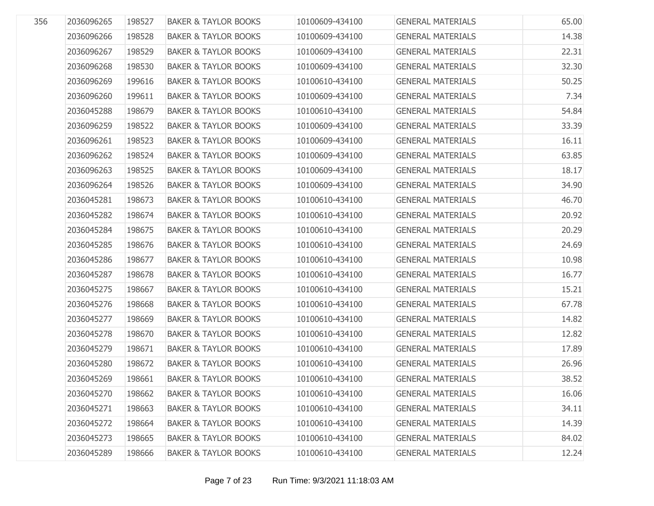| 356 | 2036096265 | 198527 | <b>BAKER &amp; TAYLOR BOOKS</b> | 10100609-434100 | <b>GENERAL MATERIALS</b> | 65.00 |
|-----|------------|--------|---------------------------------|-----------------|--------------------------|-------|
|     | 2036096266 | 198528 | <b>BAKER &amp; TAYLOR BOOKS</b> | 10100609-434100 | <b>GENERAL MATERIALS</b> | 14.38 |
|     | 2036096267 | 198529 | <b>BAKER &amp; TAYLOR BOOKS</b> | 10100609-434100 | <b>GENERAL MATERIALS</b> | 22.31 |
|     | 2036096268 | 198530 | <b>BAKER &amp; TAYLOR BOOKS</b> | 10100609-434100 | <b>GENERAL MATERIALS</b> | 32.30 |
|     | 2036096269 | 199616 | <b>BAKER &amp; TAYLOR BOOKS</b> | 10100610-434100 | <b>GENERAL MATERIALS</b> | 50.25 |
|     | 2036096260 | 199611 | <b>BAKER &amp; TAYLOR BOOKS</b> | 10100609-434100 | <b>GENERAL MATERIALS</b> | 7.34  |
|     | 2036045288 | 198679 | <b>BAKER &amp; TAYLOR BOOKS</b> | 10100610-434100 | <b>GENERAL MATERIALS</b> | 54.84 |
|     | 2036096259 | 198522 | <b>BAKER &amp; TAYLOR BOOKS</b> | 10100609-434100 | <b>GENERAL MATERIALS</b> | 33.39 |
|     | 2036096261 | 198523 | <b>BAKER &amp; TAYLOR BOOKS</b> | 10100609-434100 | <b>GENERAL MATERIALS</b> | 16.11 |
|     | 2036096262 | 198524 | <b>BAKER &amp; TAYLOR BOOKS</b> | 10100609-434100 | <b>GENERAL MATERIALS</b> | 63.85 |
|     | 2036096263 | 198525 | <b>BAKER &amp; TAYLOR BOOKS</b> | 10100609-434100 | <b>GENERAL MATERIALS</b> | 18.17 |
|     | 2036096264 | 198526 | <b>BAKER &amp; TAYLOR BOOKS</b> | 10100609-434100 | <b>GENERAL MATERIALS</b> | 34.90 |
|     | 2036045281 | 198673 | <b>BAKER &amp; TAYLOR BOOKS</b> | 10100610-434100 | <b>GENERAL MATERIALS</b> | 46.70 |
|     | 2036045282 | 198674 | <b>BAKER &amp; TAYLOR BOOKS</b> | 10100610-434100 | <b>GENERAL MATERIALS</b> | 20.92 |
|     | 2036045284 | 198675 | <b>BAKER &amp; TAYLOR BOOKS</b> | 10100610-434100 | <b>GENERAL MATERIALS</b> | 20.29 |
|     | 2036045285 | 198676 | <b>BAKER &amp; TAYLOR BOOKS</b> | 10100610-434100 | <b>GENERAL MATERIALS</b> | 24.69 |
|     | 2036045286 | 198677 | <b>BAKER &amp; TAYLOR BOOKS</b> | 10100610-434100 | <b>GENERAL MATERIALS</b> | 10.98 |
|     | 2036045287 | 198678 | <b>BAKER &amp; TAYLOR BOOKS</b> | 10100610-434100 | <b>GENERAL MATERIALS</b> | 16.77 |
|     | 2036045275 | 198667 | <b>BAKER &amp; TAYLOR BOOKS</b> | 10100610-434100 | <b>GENERAL MATERIALS</b> | 15.21 |
|     | 2036045276 | 198668 | <b>BAKER &amp; TAYLOR BOOKS</b> | 10100610-434100 | <b>GENERAL MATERIALS</b> | 67.78 |
|     | 2036045277 | 198669 | <b>BAKER &amp; TAYLOR BOOKS</b> | 10100610-434100 | <b>GENERAL MATERIALS</b> | 14.82 |
|     | 2036045278 | 198670 | <b>BAKER &amp; TAYLOR BOOKS</b> | 10100610-434100 | <b>GENERAL MATERIALS</b> | 12.82 |
|     | 2036045279 | 198671 | <b>BAKER &amp; TAYLOR BOOKS</b> | 10100610-434100 | <b>GENERAL MATERIALS</b> | 17.89 |
|     | 2036045280 | 198672 | <b>BAKER &amp; TAYLOR BOOKS</b> | 10100610-434100 | <b>GENERAL MATERIALS</b> | 26.96 |
|     | 2036045269 | 198661 | <b>BAKER &amp; TAYLOR BOOKS</b> | 10100610-434100 | <b>GENERAL MATERIALS</b> | 38.52 |
|     | 2036045270 | 198662 | <b>BAKER &amp; TAYLOR BOOKS</b> | 10100610-434100 | <b>GENERAL MATERIALS</b> | 16.06 |
|     | 2036045271 | 198663 | <b>BAKER &amp; TAYLOR BOOKS</b> | 10100610-434100 | <b>GENERAL MATERIALS</b> | 34.11 |
|     | 2036045272 | 198664 | <b>BAKER &amp; TAYLOR BOOKS</b> | 10100610-434100 | <b>GENERAL MATERIALS</b> | 14.39 |
|     | 2036045273 | 198665 | <b>BAKER &amp; TAYLOR BOOKS</b> | 10100610-434100 | <b>GENERAL MATERIALS</b> | 84.02 |
|     | 2036045289 | 198666 | <b>BAKER &amp; TAYLOR BOOKS</b> | 10100610-434100 | <b>GENERAL MATERIALS</b> | 12.24 |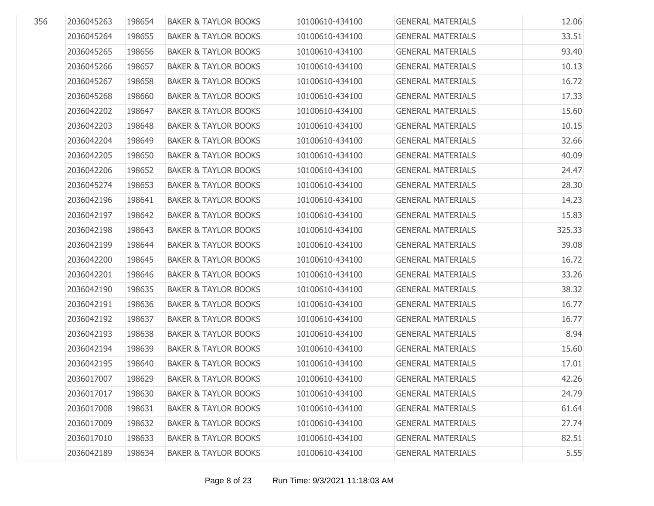| 356 | 2036045263 | 198654 | <b>BAKER &amp; TAYLOR BOOKS</b> | 10100610-434100 | <b>GENERAL MATERIALS</b> | 12.06  |
|-----|------------|--------|---------------------------------|-----------------|--------------------------|--------|
|     | 2036045264 | 198655 | <b>BAKER &amp; TAYLOR BOOKS</b> | 10100610-434100 | <b>GENERAL MATERIALS</b> | 33.51  |
|     | 2036045265 | 198656 | <b>BAKER &amp; TAYLOR BOOKS</b> | 10100610-434100 | <b>GENERAL MATERIALS</b> | 93.40  |
|     | 2036045266 | 198657 | <b>BAKER &amp; TAYLOR BOOKS</b> | 10100610-434100 | <b>GENERAL MATERIALS</b> | 10.13  |
|     | 2036045267 | 198658 | <b>BAKER &amp; TAYLOR BOOKS</b> | 10100610-434100 | <b>GENERAL MATERIALS</b> | 16.72  |
|     | 2036045268 | 198660 | <b>BAKER &amp; TAYLOR BOOKS</b> | 10100610-434100 | <b>GENERAL MATERIALS</b> | 17.33  |
|     | 2036042202 | 198647 | <b>BAKER &amp; TAYLOR BOOKS</b> | 10100610-434100 | <b>GENERAL MATERIALS</b> | 15.60  |
|     | 2036042203 | 198648 | <b>BAKER &amp; TAYLOR BOOKS</b> | 10100610-434100 | <b>GENERAL MATERIALS</b> | 10.15  |
|     | 2036042204 | 198649 | <b>BAKER &amp; TAYLOR BOOKS</b> | 10100610-434100 | <b>GENERAL MATERIALS</b> | 32.66  |
|     | 2036042205 | 198650 | <b>BAKER &amp; TAYLOR BOOKS</b> | 10100610-434100 | <b>GENERAL MATERIALS</b> | 40.09  |
|     | 2036042206 | 198652 | <b>BAKER &amp; TAYLOR BOOKS</b> | 10100610-434100 | <b>GENERAL MATERIALS</b> | 24.47  |
|     | 2036045274 | 198653 | <b>BAKER &amp; TAYLOR BOOKS</b> | 10100610-434100 | <b>GENERAL MATERIALS</b> | 28.30  |
|     | 2036042196 | 198641 | <b>BAKER &amp; TAYLOR BOOKS</b> | 10100610-434100 | <b>GENERAL MATERIALS</b> | 14.23  |
|     | 2036042197 | 198642 | <b>BAKER &amp; TAYLOR BOOKS</b> | 10100610-434100 | <b>GENERAL MATERIALS</b> | 15.83  |
|     | 2036042198 | 198643 | <b>BAKER &amp; TAYLOR BOOKS</b> | 10100610-434100 | <b>GENERAL MATERIALS</b> | 325.33 |
|     | 2036042199 | 198644 | <b>BAKER &amp; TAYLOR BOOKS</b> | 10100610-434100 | <b>GENERAL MATERIALS</b> | 39.08  |
|     | 2036042200 | 198645 | <b>BAKER &amp; TAYLOR BOOKS</b> | 10100610-434100 | <b>GENERAL MATERIALS</b> | 16.72  |
|     | 2036042201 | 198646 | <b>BAKER &amp; TAYLOR BOOKS</b> | 10100610-434100 | <b>GENERAL MATERIALS</b> | 33.26  |
|     | 2036042190 | 198635 | <b>BAKER &amp; TAYLOR BOOKS</b> | 10100610-434100 | <b>GENERAL MATERIALS</b> | 38.32  |
|     | 2036042191 | 198636 | <b>BAKER &amp; TAYLOR BOOKS</b> | 10100610-434100 | <b>GENERAL MATERIALS</b> | 16.77  |
|     | 2036042192 | 198637 | <b>BAKER &amp; TAYLOR BOOKS</b> | 10100610-434100 | <b>GENERAL MATERIALS</b> | 16.77  |
|     | 2036042193 | 198638 | <b>BAKER &amp; TAYLOR BOOKS</b> | 10100610-434100 | <b>GENERAL MATERIALS</b> | 8.94   |
|     | 2036042194 | 198639 | <b>BAKER &amp; TAYLOR BOOKS</b> | 10100610-434100 | <b>GENERAL MATERIALS</b> | 15.60  |
|     | 2036042195 | 198640 | <b>BAKER &amp; TAYLOR BOOKS</b> | 10100610-434100 | <b>GENERAL MATERIALS</b> | 17.01  |
|     | 2036017007 | 198629 | <b>BAKER &amp; TAYLOR BOOKS</b> | 10100610-434100 | <b>GENERAL MATERIALS</b> | 42.26  |
|     | 2036017017 | 198630 | <b>BAKER &amp; TAYLOR BOOKS</b> | 10100610-434100 | <b>GENERAL MATERIALS</b> | 24.79  |
|     | 2036017008 | 198631 | <b>BAKER &amp; TAYLOR BOOKS</b> | 10100610-434100 | <b>GENERAL MATERIALS</b> | 61.64  |
|     | 2036017009 | 198632 | <b>BAKER &amp; TAYLOR BOOKS</b> | 10100610-434100 | <b>GENERAL MATERIALS</b> | 27.74  |
|     | 2036017010 | 198633 | <b>BAKER &amp; TAYLOR BOOKS</b> | 10100610-434100 | <b>GENERAL MATERIALS</b> | 82.51  |
|     | 2036042189 | 198634 | <b>BAKER &amp; TAYLOR BOOKS</b> | 10100610-434100 | <b>GENERAL MATERIALS</b> | 5.55   |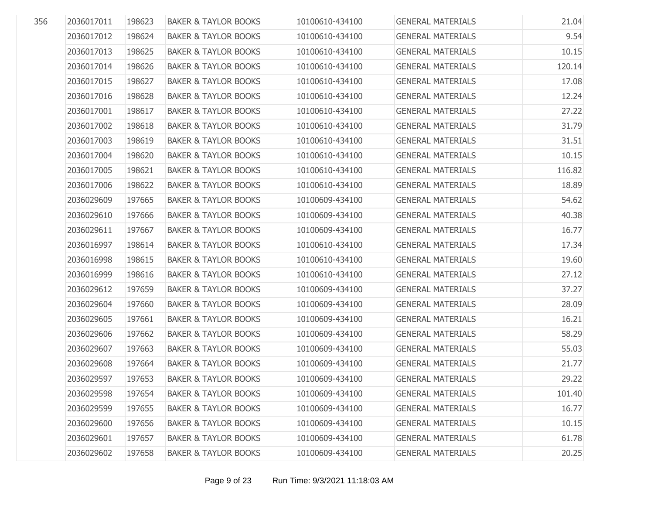| 356 | 2036017011 | 198623 | <b>BAKER &amp; TAYLOR BOOKS</b> | 10100610-434100 | <b>GENERAL MATERIALS</b> | 21.04  |
|-----|------------|--------|---------------------------------|-----------------|--------------------------|--------|
|     | 2036017012 | 198624 | <b>BAKER &amp; TAYLOR BOOKS</b> | 10100610-434100 | <b>GENERAL MATERIALS</b> | 9.54   |
|     | 2036017013 | 198625 | <b>BAKER &amp; TAYLOR BOOKS</b> | 10100610-434100 | <b>GENERAL MATERIALS</b> | 10.15  |
|     | 2036017014 | 198626 | <b>BAKER &amp; TAYLOR BOOKS</b> | 10100610-434100 | <b>GENERAL MATERIALS</b> | 120.14 |
|     | 2036017015 | 198627 | <b>BAKER &amp; TAYLOR BOOKS</b> | 10100610-434100 | <b>GENERAL MATERIALS</b> | 17.08  |
|     | 2036017016 | 198628 | <b>BAKER &amp; TAYLOR BOOKS</b> | 10100610-434100 | <b>GENERAL MATERIALS</b> | 12.24  |
|     | 2036017001 | 198617 | <b>BAKER &amp; TAYLOR BOOKS</b> | 10100610-434100 | <b>GENERAL MATERIALS</b> | 27.22  |
|     | 2036017002 | 198618 | <b>BAKER &amp; TAYLOR BOOKS</b> | 10100610-434100 | <b>GENERAL MATERIALS</b> | 31.79  |
|     | 2036017003 | 198619 | <b>BAKER &amp; TAYLOR BOOKS</b> | 10100610-434100 | <b>GENERAL MATERIALS</b> | 31.51  |
|     | 2036017004 | 198620 | <b>BAKER &amp; TAYLOR BOOKS</b> | 10100610-434100 | <b>GENERAL MATERIALS</b> | 10.15  |
|     | 2036017005 | 198621 | <b>BAKER &amp; TAYLOR BOOKS</b> | 10100610-434100 | <b>GENERAL MATERIALS</b> | 116.82 |
|     | 2036017006 | 198622 | <b>BAKER &amp; TAYLOR BOOKS</b> | 10100610-434100 | <b>GENERAL MATERIALS</b> | 18.89  |
|     | 2036029609 | 197665 | <b>BAKER &amp; TAYLOR BOOKS</b> | 10100609-434100 | <b>GENERAL MATERIALS</b> | 54.62  |
|     | 2036029610 | 197666 | <b>BAKER &amp; TAYLOR BOOKS</b> | 10100609-434100 | <b>GENERAL MATERIALS</b> | 40.38  |
|     | 2036029611 | 197667 | <b>BAKER &amp; TAYLOR BOOKS</b> | 10100609-434100 | <b>GENERAL MATERIALS</b> | 16.77  |
|     | 2036016997 | 198614 | <b>BAKER &amp; TAYLOR BOOKS</b> | 10100610-434100 | <b>GENERAL MATERIALS</b> | 17.34  |
|     | 2036016998 | 198615 | <b>BAKER &amp; TAYLOR BOOKS</b> | 10100610-434100 | <b>GENERAL MATERIALS</b> | 19.60  |
|     | 2036016999 | 198616 | <b>BAKER &amp; TAYLOR BOOKS</b> | 10100610-434100 | <b>GENERAL MATERIALS</b> | 27.12  |
|     | 2036029612 | 197659 | <b>BAKER &amp; TAYLOR BOOKS</b> | 10100609-434100 | <b>GENERAL MATERIALS</b> | 37.27  |
|     | 2036029604 | 197660 | <b>BAKER &amp; TAYLOR BOOKS</b> | 10100609-434100 | <b>GENERAL MATERIALS</b> | 28.09  |
|     | 2036029605 | 197661 | <b>BAKER &amp; TAYLOR BOOKS</b> | 10100609-434100 | <b>GENERAL MATERIALS</b> | 16.21  |
|     | 2036029606 | 197662 | <b>BAKER &amp; TAYLOR BOOKS</b> | 10100609-434100 | <b>GENERAL MATERIALS</b> | 58.29  |
|     | 2036029607 | 197663 | <b>BAKER &amp; TAYLOR BOOKS</b> | 10100609-434100 | <b>GENERAL MATERIALS</b> | 55.03  |
|     | 2036029608 | 197664 | <b>BAKER &amp; TAYLOR BOOKS</b> | 10100609-434100 | <b>GENERAL MATERIALS</b> | 21.77  |
|     | 2036029597 | 197653 | <b>BAKER &amp; TAYLOR BOOKS</b> | 10100609-434100 | <b>GENERAL MATERIALS</b> | 29.22  |
|     | 2036029598 | 197654 | <b>BAKER &amp; TAYLOR BOOKS</b> | 10100609-434100 | <b>GENERAL MATERIALS</b> | 101.40 |
|     | 2036029599 | 197655 | <b>BAKER &amp; TAYLOR BOOKS</b> | 10100609-434100 | <b>GENERAL MATERIALS</b> | 16.77  |
|     | 2036029600 | 197656 | <b>BAKER &amp; TAYLOR BOOKS</b> | 10100609-434100 | <b>GENERAL MATERIALS</b> | 10.15  |
|     | 2036029601 | 197657 | <b>BAKER &amp; TAYLOR BOOKS</b> | 10100609-434100 | <b>GENERAL MATERIALS</b> | 61.78  |
|     | 2036029602 | 197658 | <b>BAKER &amp; TAYLOR BOOKS</b> | 10100609-434100 | <b>GENERAL MATERIALS</b> | 20.25  |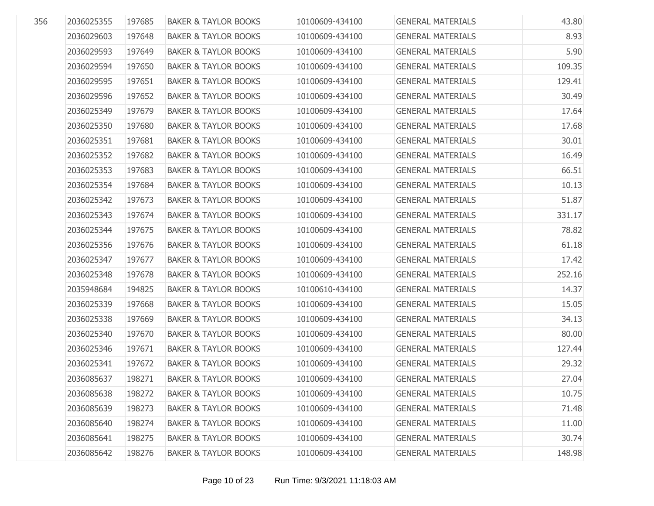| 356 | 2036025355<br>2036029603<br>2036029593 | 197685<br>197648 | <b>BAKER &amp; TAYLOR BOOKS</b><br><b>BAKER &amp; TAYLOR BOOKS</b> | 10100609-434100<br>10100609-434100 | <b>GENERAL MATERIALS</b><br><b>GENERAL MATERIALS</b> | 43.80  |
|-----|----------------------------------------|------------------|--------------------------------------------------------------------|------------------------------------|------------------------------------------------------|--------|
|     |                                        |                  |                                                                    |                                    |                                                      |        |
|     |                                        |                  |                                                                    |                                    |                                                      | 8.93   |
|     |                                        | 197649           | <b>BAKER &amp; TAYLOR BOOKS</b>                                    | 10100609-434100                    | <b>GENERAL MATERIALS</b>                             | 5.90   |
|     | 2036029594                             | 197650           | <b>BAKER &amp; TAYLOR BOOKS</b>                                    | 10100609-434100                    | <b>GENERAL MATERIALS</b>                             | 109.35 |
|     | 2036029595                             | 197651           | <b>BAKER &amp; TAYLOR BOOKS</b>                                    | 10100609-434100                    | <b>GENERAL MATERIALS</b>                             | 129.41 |
|     | 2036029596                             | 197652           | <b>BAKER &amp; TAYLOR BOOKS</b>                                    | 10100609-434100                    | <b>GENERAL MATERIALS</b>                             | 30.49  |
|     | 2036025349                             | 197679           | <b>BAKER &amp; TAYLOR BOOKS</b>                                    | 10100609-434100                    | <b>GENERAL MATERIALS</b>                             | 17.64  |
|     | 2036025350                             | 197680           | <b>BAKER &amp; TAYLOR BOOKS</b>                                    | 10100609-434100                    | <b>GENERAL MATERIALS</b>                             | 17.68  |
|     | 2036025351                             | 197681           | <b>BAKER &amp; TAYLOR BOOKS</b>                                    | 10100609-434100                    | <b>GENERAL MATERIALS</b>                             | 30.01  |
|     | 2036025352                             | 197682           | <b>BAKER &amp; TAYLOR BOOKS</b>                                    | 10100609-434100                    | <b>GENERAL MATERIALS</b>                             | 16.49  |
|     | 2036025353                             | 197683           | <b>BAKER &amp; TAYLOR BOOKS</b>                                    | 10100609-434100                    | <b>GENERAL MATERIALS</b>                             | 66.51  |
|     | 2036025354                             | 197684           | <b>BAKER &amp; TAYLOR BOOKS</b>                                    | 10100609-434100                    | <b>GENERAL MATERIALS</b>                             | 10.13  |
|     | 2036025342                             | 197673           | <b>BAKER &amp; TAYLOR BOOKS</b>                                    | 10100609-434100                    | <b>GENERAL MATERIALS</b>                             | 51.87  |
|     | 2036025343                             | 197674           | <b>BAKER &amp; TAYLOR BOOKS</b>                                    | 10100609-434100                    | <b>GENERAL MATERIALS</b>                             | 331.17 |
|     | 2036025344                             | 197675           | <b>BAKER &amp; TAYLOR BOOKS</b>                                    | 10100609-434100                    | <b>GENERAL MATERIALS</b>                             | 78.82  |
|     | 2036025356                             | 197676           | <b>BAKER &amp; TAYLOR BOOKS</b>                                    | 10100609-434100                    | <b>GENERAL MATERIALS</b>                             | 61.18  |
|     | 2036025347                             | 197677           | <b>BAKER &amp; TAYLOR BOOKS</b>                                    | 10100609-434100                    | <b>GENERAL MATERIALS</b>                             | 17.42  |
|     | 2036025348                             | 197678           | <b>BAKER &amp; TAYLOR BOOKS</b>                                    | 10100609-434100                    | <b>GENERAL MATERIALS</b>                             | 252.16 |
|     | 2035948684                             | 194825           | <b>BAKER &amp; TAYLOR BOOKS</b>                                    | 10100610-434100                    | <b>GENERAL MATERIALS</b>                             | 14.37  |
|     | 2036025339                             | 197668           | <b>BAKER &amp; TAYLOR BOOKS</b>                                    | 10100609-434100                    | <b>GENERAL MATERIALS</b>                             | 15.05  |
|     | 2036025338                             | 197669           | <b>BAKER &amp; TAYLOR BOOKS</b>                                    | 10100609-434100                    | <b>GENERAL MATERIALS</b>                             | 34.13  |
|     | 2036025340                             | 197670           | <b>BAKER &amp; TAYLOR BOOKS</b>                                    | 10100609-434100                    | <b>GENERAL MATERIALS</b>                             | 80.00  |
|     | 2036025346                             | 197671           | <b>BAKER &amp; TAYLOR BOOKS</b>                                    | 10100609-434100                    | <b>GENERAL MATERIALS</b>                             | 127.44 |
|     | 2036025341                             | 197672           | <b>BAKER &amp; TAYLOR BOOKS</b>                                    | 10100609-434100                    | <b>GENERAL MATERIALS</b>                             | 29.32  |
|     | 2036085637                             | 198271           | <b>BAKER &amp; TAYLOR BOOKS</b>                                    | 10100609-434100                    | <b>GENERAL MATERIALS</b>                             | 27.04  |
|     | 2036085638                             | 198272           | <b>BAKER &amp; TAYLOR BOOKS</b>                                    | 10100609-434100                    | <b>GENERAL MATERIALS</b>                             | 10.75  |
|     | 2036085639                             | 198273           | <b>BAKER &amp; TAYLOR BOOKS</b>                                    | 10100609-434100                    | <b>GENERAL MATERIALS</b>                             | 71.48  |
|     | 2036085640                             | 198274           | <b>BAKER &amp; TAYLOR BOOKS</b>                                    | 10100609-434100                    | <b>GENERAL MATERIALS</b>                             | 11.00  |
|     | 2036085641                             | 198275           | <b>BAKER &amp; TAYLOR BOOKS</b>                                    | 10100609-434100                    | <b>GENERAL MATERIALS</b>                             | 30.74  |
|     | 2036085642                             | 198276           | <b>BAKER &amp; TAYLOR BOOKS</b>                                    | 10100609-434100                    | <b>GENERAL MATERIALS</b>                             | 148.98 |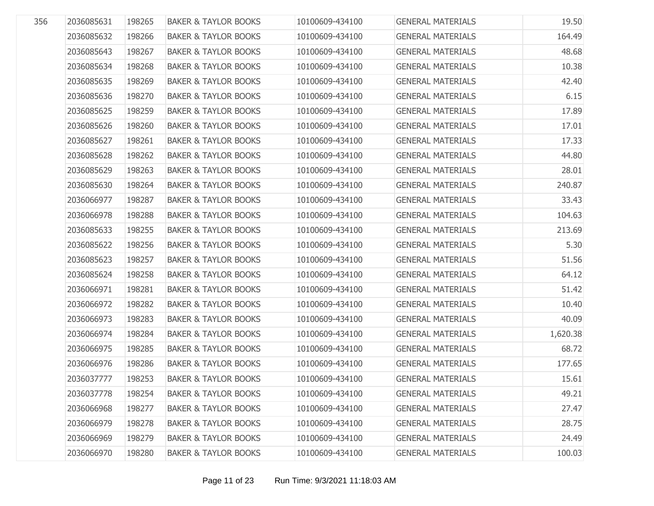| 356 | 2036085631 | 198265 | <b>BAKER &amp; TAYLOR BOOKS</b> | 10100609-434100 | <b>GENERAL MATERIALS</b> | 19.50    |
|-----|------------|--------|---------------------------------|-----------------|--------------------------|----------|
|     | 2036085632 | 198266 | <b>BAKER &amp; TAYLOR BOOKS</b> | 10100609-434100 | <b>GENERAL MATERIALS</b> | 164.49   |
|     | 2036085643 | 198267 | <b>BAKER &amp; TAYLOR BOOKS</b> | 10100609-434100 | <b>GENERAL MATERIALS</b> | 48.68    |
|     | 2036085634 | 198268 | <b>BAKER &amp; TAYLOR BOOKS</b> | 10100609-434100 | <b>GENERAL MATERIALS</b> | 10.38    |
|     | 2036085635 | 198269 | <b>BAKER &amp; TAYLOR BOOKS</b> | 10100609-434100 | <b>GENERAL MATERIALS</b> | 42.40    |
|     | 2036085636 | 198270 | <b>BAKER &amp; TAYLOR BOOKS</b> | 10100609-434100 | <b>GENERAL MATERIALS</b> | 6.15     |
|     | 2036085625 | 198259 | <b>BAKER &amp; TAYLOR BOOKS</b> | 10100609-434100 | <b>GENERAL MATERIALS</b> | 17.89    |
|     | 2036085626 | 198260 | <b>BAKER &amp; TAYLOR BOOKS</b> | 10100609-434100 | <b>GENERAL MATERIALS</b> | 17.01    |
|     | 2036085627 | 198261 | <b>BAKER &amp; TAYLOR BOOKS</b> | 10100609-434100 | <b>GENERAL MATERIALS</b> | 17.33    |
|     | 2036085628 | 198262 | <b>BAKER &amp; TAYLOR BOOKS</b> | 10100609-434100 | <b>GENERAL MATERIALS</b> | 44.80    |
|     | 2036085629 | 198263 | <b>BAKER &amp; TAYLOR BOOKS</b> | 10100609-434100 | <b>GENERAL MATERIALS</b> | 28.01    |
|     | 2036085630 | 198264 | <b>BAKER &amp; TAYLOR BOOKS</b> | 10100609-434100 | <b>GENERAL MATERIALS</b> | 240.87   |
|     | 2036066977 | 198287 | <b>BAKER &amp; TAYLOR BOOKS</b> | 10100609-434100 | <b>GENERAL MATERIALS</b> | 33.43    |
|     | 2036066978 | 198288 | <b>BAKER &amp; TAYLOR BOOKS</b> | 10100609-434100 | <b>GENERAL MATERIALS</b> | 104.63   |
|     | 2036085633 | 198255 | <b>BAKER &amp; TAYLOR BOOKS</b> | 10100609-434100 | <b>GENERAL MATERIALS</b> | 213.69   |
|     | 2036085622 | 198256 | <b>BAKER &amp; TAYLOR BOOKS</b> | 10100609-434100 | <b>GENERAL MATERIALS</b> | 5.30     |
|     | 2036085623 | 198257 | <b>BAKER &amp; TAYLOR BOOKS</b> | 10100609-434100 | <b>GENERAL MATERIALS</b> | 51.56    |
|     | 2036085624 | 198258 | <b>BAKER &amp; TAYLOR BOOKS</b> | 10100609-434100 | <b>GENERAL MATERIALS</b> | 64.12    |
|     | 2036066971 | 198281 | <b>BAKER &amp; TAYLOR BOOKS</b> | 10100609-434100 | <b>GENERAL MATERIALS</b> | 51.42    |
|     | 2036066972 | 198282 | <b>BAKER &amp; TAYLOR BOOKS</b> | 10100609-434100 | <b>GENERAL MATERIALS</b> | 10.40    |
|     | 2036066973 | 198283 | <b>BAKER &amp; TAYLOR BOOKS</b> | 10100609-434100 | <b>GENERAL MATERIALS</b> | 40.09    |
|     | 2036066974 | 198284 | <b>BAKER &amp; TAYLOR BOOKS</b> | 10100609-434100 | <b>GENERAL MATERIALS</b> | 1,620.38 |
|     | 2036066975 | 198285 | <b>BAKER &amp; TAYLOR BOOKS</b> | 10100609-434100 | <b>GENERAL MATERIALS</b> | 68.72    |
|     | 2036066976 | 198286 | <b>BAKER &amp; TAYLOR BOOKS</b> | 10100609-434100 | <b>GENERAL MATERIALS</b> | 177.65   |
|     | 2036037777 | 198253 | <b>BAKER &amp; TAYLOR BOOKS</b> | 10100609-434100 | <b>GENERAL MATERIALS</b> | 15.61    |
|     | 2036037778 | 198254 | <b>BAKER &amp; TAYLOR BOOKS</b> | 10100609-434100 | <b>GENERAL MATERIALS</b> | 49.21    |
|     | 2036066968 | 198277 | <b>BAKER &amp; TAYLOR BOOKS</b> | 10100609-434100 | <b>GENERAL MATERIALS</b> | 27.47    |
|     | 2036066979 | 198278 | <b>BAKER &amp; TAYLOR BOOKS</b> | 10100609-434100 | <b>GENERAL MATERIALS</b> | 28.75    |
|     | 2036066969 | 198279 | <b>BAKER &amp; TAYLOR BOOKS</b> | 10100609-434100 | <b>GENERAL MATERIALS</b> | 24.49    |
|     | 2036066970 | 198280 | <b>BAKER &amp; TAYLOR BOOKS</b> | 10100609-434100 | <b>GENERAL MATERIALS</b> | 100.03   |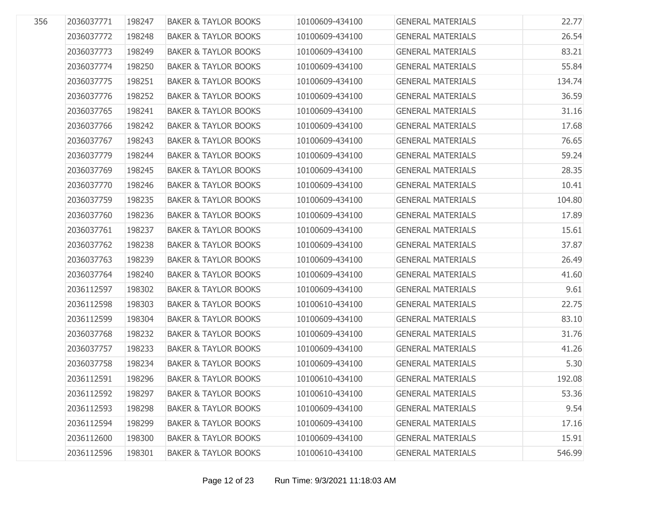| 356 | 2036037771 | 198247 | <b>BAKER &amp; TAYLOR BOOKS</b> | 10100609-434100 | <b>GENERAL MATERIALS</b> | 22.77  |
|-----|------------|--------|---------------------------------|-----------------|--------------------------|--------|
|     | 2036037772 | 198248 | <b>BAKER &amp; TAYLOR BOOKS</b> | 10100609-434100 | <b>GENERAL MATERIALS</b> | 26.54  |
|     | 2036037773 | 198249 | <b>BAKER &amp; TAYLOR BOOKS</b> | 10100609-434100 | <b>GENERAL MATERIALS</b> | 83.21  |
|     | 2036037774 | 198250 | <b>BAKER &amp; TAYLOR BOOKS</b> | 10100609-434100 | <b>GENERAL MATERIALS</b> | 55.84  |
|     | 2036037775 | 198251 | <b>BAKER &amp; TAYLOR BOOKS</b> | 10100609-434100 | <b>GENERAL MATERIALS</b> | 134.74 |
|     | 2036037776 | 198252 | <b>BAKER &amp; TAYLOR BOOKS</b> | 10100609-434100 | <b>GENERAL MATERIALS</b> | 36.59  |
|     | 2036037765 | 198241 | <b>BAKER &amp; TAYLOR BOOKS</b> | 10100609-434100 | <b>GENERAL MATERIALS</b> | 31.16  |
|     | 2036037766 | 198242 | <b>BAKER &amp; TAYLOR BOOKS</b> | 10100609-434100 | <b>GENERAL MATERIALS</b> | 17.68  |
|     | 2036037767 | 198243 | <b>BAKER &amp; TAYLOR BOOKS</b> | 10100609-434100 | <b>GENERAL MATERIALS</b> | 76.65  |
|     | 2036037779 | 198244 | <b>BAKER &amp; TAYLOR BOOKS</b> | 10100609-434100 | <b>GENERAL MATERIALS</b> | 59.24  |
|     | 2036037769 | 198245 | <b>BAKER &amp; TAYLOR BOOKS</b> | 10100609-434100 | <b>GENERAL MATERIALS</b> | 28.35  |
|     | 2036037770 | 198246 | <b>BAKER &amp; TAYLOR BOOKS</b> | 10100609-434100 | <b>GENERAL MATERIALS</b> | 10.41  |
|     | 2036037759 | 198235 | <b>BAKER &amp; TAYLOR BOOKS</b> | 10100609-434100 | <b>GENERAL MATERIALS</b> | 104.80 |
|     | 2036037760 | 198236 | <b>BAKER &amp; TAYLOR BOOKS</b> | 10100609-434100 | <b>GENERAL MATERIALS</b> | 17.89  |
|     | 2036037761 | 198237 | <b>BAKER &amp; TAYLOR BOOKS</b> | 10100609-434100 | <b>GENERAL MATERIALS</b> | 15.61  |
|     | 2036037762 | 198238 | <b>BAKER &amp; TAYLOR BOOKS</b> | 10100609-434100 | <b>GENERAL MATERIALS</b> | 37.87  |
|     | 2036037763 | 198239 | <b>BAKER &amp; TAYLOR BOOKS</b> | 10100609-434100 | <b>GENERAL MATERIALS</b> | 26.49  |
|     | 2036037764 | 198240 | <b>BAKER &amp; TAYLOR BOOKS</b> | 10100609-434100 | <b>GENERAL MATERIALS</b> | 41.60  |
|     | 2036112597 | 198302 | <b>BAKER &amp; TAYLOR BOOKS</b> | 10100609-434100 | <b>GENERAL MATERIALS</b> | 9.61   |
|     | 2036112598 | 198303 | <b>BAKER &amp; TAYLOR BOOKS</b> | 10100610-434100 | <b>GENERAL MATERIALS</b> | 22.75  |
|     | 2036112599 | 198304 | <b>BAKER &amp; TAYLOR BOOKS</b> | 10100609-434100 | <b>GENERAL MATERIALS</b> | 83.10  |
|     | 2036037768 | 198232 | <b>BAKER &amp; TAYLOR BOOKS</b> | 10100609-434100 | <b>GENERAL MATERIALS</b> | 31.76  |
|     | 2036037757 | 198233 | <b>BAKER &amp; TAYLOR BOOKS</b> | 10100609-434100 | <b>GENERAL MATERIALS</b> | 41.26  |
|     | 2036037758 | 198234 | <b>BAKER &amp; TAYLOR BOOKS</b> | 10100609-434100 | <b>GENERAL MATERIALS</b> | 5.30   |
|     | 2036112591 | 198296 | <b>BAKER &amp; TAYLOR BOOKS</b> | 10100610-434100 | <b>GENERAL MATERIALS</b> | 192.08 |
|     | 2036112592 | 198297 | <b>BAKER &amp; TAYLOR BOOKS</b> | 10100610-434100 | <b>GENERAL MATERIALS</b> | 53.36  |
|     | 2036112593 | 198298 | <b>BAKER &amp; TAYLOR BOOKS</b> | 10100609-434100 | <b>GENERAL MATERIALS</b> | 9.54   |
|     | 2036112594 | 198299 | <b>BAKER &amp; TAYLOR BOOKS</b> | 10100609-434100 | <b>GENERAL MATERIALS</b> | 17.16  |
|     | 2036112600 | 198300 | <b>BAKER &amp; TAYLOR BOOKS</b> | 10100609-434100 | <b>GENERAL MATERIALS</b> | 15.91  |
|     | 2036112596 | 198301 | <b>BAKER &amp; TAYLOR BOOKS</b> | 10100610-434100 | <b>GENERAL MATERIALS</b> | 546.99 |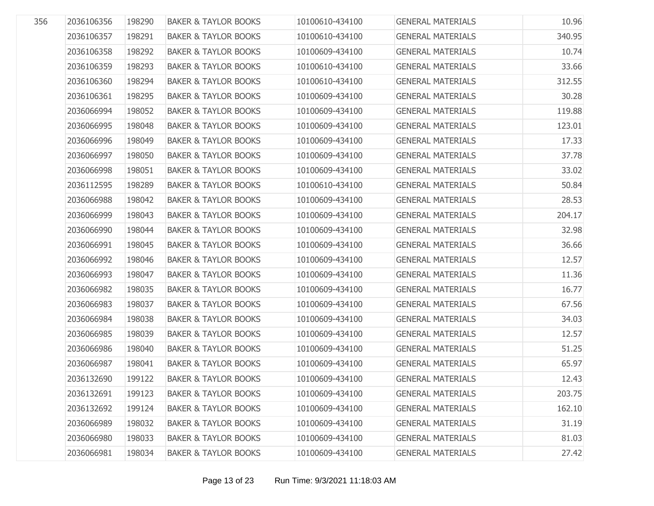| 2036106356 | 198290 | <b>BAKER &amp; TAYLOR BOOKS</b> | 10100610-434100 | <b>GENERAL MATERIALS</b> | 10.96  |
|------------|--------|---------------------------------|-----------------|--------------------------|--------|
| 2036106357 | 198291 | <b>BAKER &amp; TAYLOR BOOKS</b> | 10100610-434100 | <b>GENERAL MATERIALS</b> | 340.95 |
| 2036106358 | 198292 | <b>BAKER &amp; TAYLOR BOOKS</b> | 10100609-434100 | <b>GENERAL MATERIALS</b> | 10.74  |
| 2036106359 | 198293 | <b>BAKER &amp; TAYLOR BOOKS</b> | 10100610-434100 | <b>GENERAL MATERIALS</b> | 33.66  |
| 2036106360 | 198294 | <b>BAKER &amp; TAYLOR BOOKS</b> | 10100610-434100 | <b>GENERAL MATERIALS</b> | 312.55 |
| 2036106361 | 198295 | <b>BAKER &amp; TAYLOR BOOKS</b> | 10100609-434100 | <b>GENERAL MATERIALS</b> | 30.28  |
| 2036066994 | 198052 | <b>BAKER &amp; TAYLOR BOOKS</b> | 10100609-434100 | <b>GENERAL MATERIALS</b> | 119.88 |
| 2036066995 | 198048 | <b>BAKER &amp; TAYLOR BOOKS</b> | 10100609-434100 | <b>GENERAL MATERIALS</b> | 123.01 |
| 2036066996 | 198049 | <b>BAKER &amp; TAYLOR BOOKS</b> | 10100609-434100 | <b>GENERAL MATERIALS</b> | 17.33  |
| 2036066997 | 198050 | <b>BAKER &amp; TAYLOR BOOKS</b> | 10100609-434100 | <b>GENERAL MATERIALS</b> | 37.78  |
| 2036066998 | 198051 | <b>BAKER &amp; TAYLOR BOOKS</b> | 10100609-434100 | <b>GENERAL MATERIALS</b> | 33.02  |
| 2036112595 | 198289 | <b>BAKER &amp; TAYLOR BOOKS</b> | 10100610-434100 | <b>GENERAL MATERIALS</b> | 50.84  |
| 2036066988 | 198042 | <b>BAKER &amp; TAYLOR BOOKS</b> | 10100609-434100 | <b>GENERAL MATERIALS</b> | 28.53  |
| 2036066999 | 198043 | <b>BAKER &amp; TAYLOR BOOKS</b> | 10100609-434100 | <b>GENERAL MATERIALS</b> | 204.17 |
| 2036066990 | 198044 | <b>BAKER &amp; TAYLOR BOOKS</b> | 10100609-434100 | <b>GENERAL MATERIALS</b> | 32.98  |
| 2036066991 | 198045 | <b>BAKER &amp; TAYLOR BOOKS</b> | 10100609-434100 | <b>GENERAL MATERIALS</b> | 36.66  |
| 2036066992 | 198046 | <b>BAKER &amp; TAYLOR BOOKS</b> | 10100609-434100 | <b>GENERAL MATERIALS</b> | 12.57  |
| 2036066993 | 198047 | <b>BAKER &amp; TAYLOR BOOKS</b> | 10100609-434100 | <b>GENERAL MATERIALS</b> | 11.36  |
| 2036066982 | 198035 | <b>BAKER &amp; TAYLOR BOOKS</b> | 10100609-434100 | <b>GENERAL MATERIALS</b> | 16.77  |
| 2036066983 | 198037 | <b>BAKER &amp; TAYLOR BOOKS</b> | 10100609-434100 | <b>GENERAL MATERIALS</b> | 67.56  |
| 2036066984 | 198038 | <b>BAKER &amp; TAYLOR BOOKS</b> | 10100609-434100 | <b>GENERAL MATERIALS</b> | 34.03  |
| 2036066985 | 198039 | <b>BAKER &amp; TAYLOR BOOKS</b> | 10100609-434100 | <b>GENERAL MATERIALS</b> | 12.57  |
| 2036066986 | 198040 | <b>BAKER &amp; TAYLOR BOOKS</b> | 10100609-434100 | <b>GENERAL MATERIALS</b> | 51.25  |
| 2036066987 | 198041 | <b>BAKER &amp; TAYLOR BOOKS</b> | 10100609-434100 | <b>GENERAL MATERIALS</b> | 65.97  |
| 2036132690 | 199122 | <b>BAKER &amp; TAYLOR BOOKS</b> | 10100609-434100 | <b>GENERAL MATERIALS</b> | 12.43  |
| 2036132691 | 199123 | <b>BAKER &amp; TAYLOR BOOKS</b> | 10100609-434100 | <b>GENERAL MATERIALS</b> | 203.75 |
| 2036132692 | 199124 | <b>BAKER &amp; TAYLOR BOOKS</b> | 10100609-434100 | <b>GENERAL MATERIALS</b> | 162.10 |
| 2036066989 | 198032 | <b>BAKER &amp; TAYLOR BOOKS</b> | 10100609-434100 | <b>GENERAL MATERIALS</b> | 31.19  |
| 2036066980 | 198033 | <b>BAKER &amp; TAYLOR BOOKS</b> | 10100609-434100 | <b>GENERAL MATERIALS</b> | 81.03  |
| 2036066981 | 198034 | <b>BAKER &amp; TAYLOR BOOKS</b> | 10100609-434100 | <b>GENERAL MATERIALS</b> | 27.42  |
|            |        |                                 |                 |                          |        |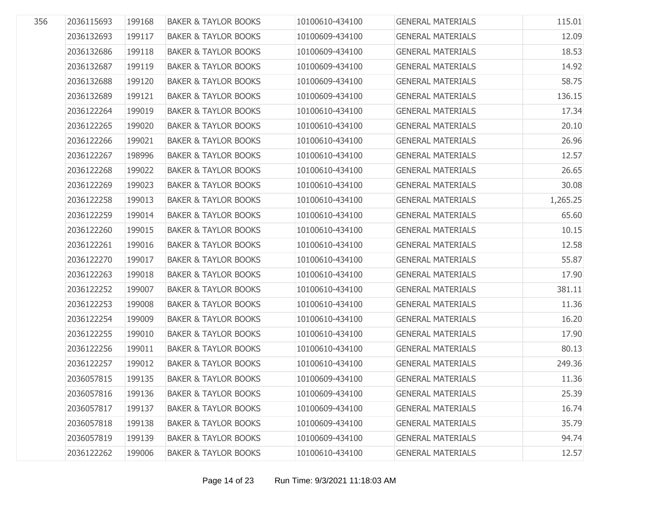| 356 | 2036115693 | 199168 | <b>BAKER &amp; TAYLOR BOOKS</b> | 10100610-434100 | <b>GENERAL MATERIALS</b> | 115.01   |
|-----|------------|--------|---------------------------------|-----------------|--------------------------|----------|
|     | 2036132693 | 199117 | <b>BAKER &amp; TAYLOR BOOKS</b> | 10100609-434100 | <b>GENERAL MATERIALS</b> | 12.09    |
|     | 2036132686 | 199118 | <b>BAKER &amp; TAYLOR BOOKS</b> | 10100609-434100 | <b>GENERAL MATERIALS</b> | 18.53    |
|     | 2036132687 | 199119 | <b>BAKER &amp; TAYLOR BOOKS</b> | 10100609-434100 | <b>GENERAL MATERIALS</b> | 14.92    |
|     | 2036132688 | 199120 | <b>BAKER &amp; TAYLOR BOOKS</b> | 10100609-434100 | <b>GENERAL MATERIALS</b> | 58.75    |
|     | 2036132689 | 199121 | <b>BAKER &amp; TAYLOR BOOKS</b> | 10100609-434100 | <b>GENERAL MATERIALS</b> | 136.15   |
|     | 2036122264 | 199019 | <b>BAKER &amp; TAYLOR BOOKS</b> | 10100610-434100 | <b>GENERAL MATERIALS</b> | 17.34    |
|     | 2036122265 | 199020 | <b>BAKER &amp; TAYLOR BOOKS</b> | 10100610-434100 | <b>GENERAL MATERIALS</b> | 20.10    |
|     | 2036122266 | 199021 | <b>BAKER &amp; TAYLOR BOOKS</b> | 10100610-434100 | <b>GENERAL MATERIALS</b> | 26.96    |
|     | 2036122267 | 198996 | <b>BAKER &amp; TAYLOR BOOKS</b> | 10100610-434100 | <b>GENERAL MATERIALS</b> | 12.57    |
|     | 2036122268 | 199022 | <b>BAKER &amp; TAYLOR BOOKS</b> | 10100610-434100 | <b>GENERAL MATERIALS</b> | 26.65    |
|     | 2036122269 | 199023 | <b>BAKER &amp; TAYLOR BOOKS</b> | 10100610-434100 | <b>GENERAL MATERIALS</b> | 30.08    |
|     | 2036122258 | 199013 | <b>BAKER &amp; TAYLOR BOOKS</b> | 10100610-434100 | <b>GENERAL MATERIALS</b> | 1,265.25 |
|     | 2036122259 | 199014 | <b>BAKER &amp; TAYLOR BOOKS</b> | 10100610-434100 | <b>GENERAL MATERIALS</b> | 65.60    |
|     | 2036122260 | 199015 | <b>BAKER &amp; TAYLOR BOOKS</b> | 10100610-434100 | <b>GENERAL MATERIALS</b> | 10.15    |
|     | 2036122261 | 199016 | <b>BAKER &amp; TAYLOR BOOKS</b> | 10100610-434100 | <b>GENERAL MATERIALS</b> | 12.58    |
|     | 2036122270 | 199017 | <b>BAKER &amp; TAYLOR BOOKS</b> | 10100610-434100 | <b>GENERAL MATERIALS</b> | 55.87    |
|     | 2036122263 | 199018 | <b>BAKER &amp; TAYLOR BOOKS</b> | 10100610-434100 | <b>GENERAL MATERIALS</b> | 17.90    |
|     | 2036122252 | 199007 | <b>BAKER &amp; TAYLOR BOOKS</b> | 10100610-434100 | <b>GENERAL MATERIALS</b> | 381.11   |
|     | 2036122253 | 199008 | <b>BAKER &amp; TAYLOR BOOKS</b> | 10100610-434100 | <b>GENERAL MATERIALS</b> | 11.36    |
|     | 2036122254 | 199009 | <b>BAKER &amp; TAYLOR BOOKS</b> | 10100610-434100 | <b>GENERAL MATERIALS</b> | 16.20    |
|     | 2036122255 | 199010 | <b>BAKER &amp; TAYLOR BOOKS</b> | 10100610-434100 | <b>GENERAL MATERIALS</b> | 17.90    |
|     | 2036122256 | 199011 | <b>BAKER &amp; TAYLOR BOOKS</b> | 10100610-434100 | <b>GENERAL MATERIALS</b> | 80.13    |
|     | 2036122257 | 199012 | <b>BAKER &amp; TAYLOR BOOKS</b> | 10100610-434100 | <b>GENERAL MATERIALS</b> | 249.36   |
|     | 2036057815 | 199135 | <b>BAKER &amp; TAYLOR BOOKS</b> | 10100609-434100 | <b>GENERAL MATERIALS</b> | 11.36    |
|     | 2036057816 | 199136 | <b>BAKER &amp; TAYLOR BOOKS</b> | 10100609-434100 | <b>GENERAL MATERIALS</b> | 25.39    |
|     | 2036057817 | 199137 | <b>BAKER &amp; TAYLOR BOOKS</b> | 10100609-434100 | <b>GENERAL MATERIALS</b> | 16.74    |
|     | 2036057818 | 199138 | <b>BAKER &amp; TAYLOR BOOKS</b> | 10100609-434100 | <b>GENERAL MATERIALS</b> | 35.79    |
|     | 2036057819 | 199139 | <b>BAKER &amp; TAYLOR BOOKS</b> | 10100609-434100 | <b>GENERAL MATERIALS</b> | 94.74    |
|     | 2036122262 | 199006 | <b>BAKER &amp; TAYLOR BOOKS</b> | 10100610-434100 | <b>GENERAL MATERIALS</b> | 12.57    |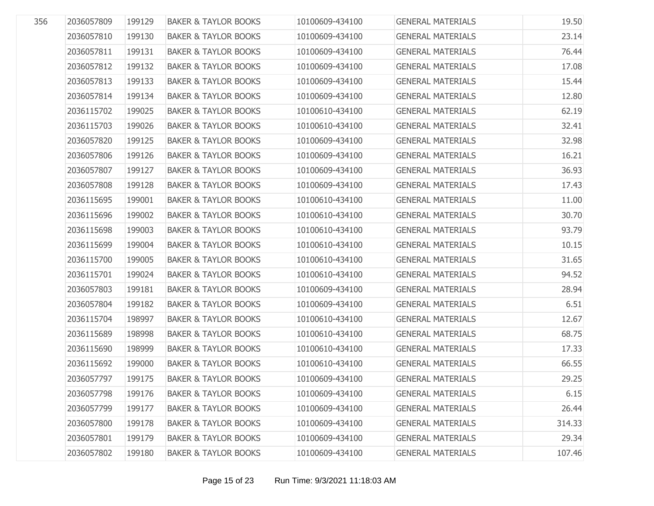| 356 | 2036057809 | 199129 | <b>BAKER &amp; TAYLOR BOOKS</b> | 10100609-434100 | <b>GENERAL MATERIALS</b> | 19.50  |
|-----|------------|--------|---------------------------------|-----------------|--------------------------|--------|
|     | 2036057810 | 199130 | <b>BAKER &amp; TAYLOR BOOKS</b> | 10100609-434100 | <b>GENERAL MATERIALS</b> | 23.14  |
|     | 2036057811 | 199131 | <b>BAKER &amp; TAYLOR BOOKS</b> | 10100609-434100 | <b>GENERAL MATERIALS</b> | 76.44  |
|     | 2036057812 | 199132 | <b>BAKER &amp; TAYLOR BOOKS</b> | 10100609-434100 | <b>GENERAL MATERIALS</b> | 17.08  |
|     | 2036057813 |        | <b>BAKER &amp; TAYLOR BOOKS</b> | 10100609-434100 | <b>GENERAL MATERIALS</b> |        |
|     |            | 199133 |                                 |                 |                          | 15.44  |
|     | 2036057814 | 199134 | <b>BAKER &amp; TAYLOR BOOKS</b> | 10100609-434100 | <b>GENERAL MATERIALS</b> | 12.80  |
|     | 2036115702 | 199025 | <b>BAKER &amp; TAYLOR BOOKS</b> | 10100610-434100 | <b>GENERAL MATERIALS</b> | 62.19  |
|     | 2036115703 | 199026 | <b>BAKER &amp; TAYLOR BOOKS</b> | 10100610-434100 | <b>GENERAL MATERIALS</b> | 32.41  |
|     | 2036057820 | 199125 | <b>BAKER &amp; TAYLOR BOOKS</b> | 10100609-434100 | <b>GENERAL MATERIALS</b> | 32.98  |
|     | 2036057806 | 199126 | <b>BAKER &amp; TAYLOR BOOKS</b> | 10100609-434100 | <b>GENERAL MATERIALS</b> | 16.21  |
|     | 2036057807 | 199127 | <b>BAKER &amp; TAYLOR BOOKS</b> | 10100609-434100 | <b>GENERAL MATERIALS</b> | 36.93  |
|     | 2036057808 | 199128 | <b>BAKER &amp; TAYLOR BOOKS</b> | 10100609-434100 | <b>GENERAL MATERIALS</b> | 17.43  |
|     | 2036115695 | 199001 | <b>BAKER &amp; TAYLOR BOOKS</b> | 10100610-434100 | <b>GENERAL MATERIALS</b> | 11.00  |
|     | 2036115696 | 199002 | <b>BAKER &amp; TAYLOR BOOKS</b> | 10100610-434100 | <b>GENERAL MATERIALS</b> | 30.70  |
|     | 2036115698 | 199003 | <b>BAKER &amp; TAYLOR BOOKS</b> | 10100610-434100 | <b>GENERAL MATERIALS</b> | 93.79  |
|     | 2036115699 | 199004 | <b>BAKER &amp; TAYLOR BOOKS</b> | 10100610-434100 | <b>GENERAL MATERIALS</b> | 10.15  |
|     | 2036115700 | 199005 | <b>BAKER &amp; TAYLOR BOOKS</b> | 10100610-434100 | <b>GENERAL MATERIALS</b> | 31.65  |
|     | 2036115701 | 199024 | <b>BAKER &amp; TAYLOR BOOKS</b> | 10100610-434100 | <b>GENERAL MATERIALS</b> | 94.52  |
|     | 2036057803 | 199181 | <b>BAKER &amp; TAYLOR BOOKS</b> | 10100609-434100 | <b>GENERAL MATERIALS</b> | 28.94  |
|     | 2036057804 | 199182 | <b>BAKER &amp; TAYLOR BOOKS</b> | 10100609-434100 | <b>GENERAL MATERIALS</b> | 6.51   |
|     | 2036115704 | 198997 | <b>BAKER &amp; TAYLOR BOOKS</b> | 10100610-434100 | <b>GENERAL MATERIALS</b> | 12.67  |
|     | 2036115689 | 198998 | <b>BAKER &amp; TAYLOR BOOKS</b> | 10100610-434100 | <b>GENERAL MATERIALS</b> | 68.75  |
|     | 2036115690 | 198999 | <b>BAKER &amp; TAYLOR BOOKS</b> | 10100610-434100 | <b>GENERAL MATERIALS</b> | 17.33  |
|     | 2036115692 | 199000 | <b>BAKER &amp; TAYLOR BOOKS</b> | 10100610-434100 | <b>GENERAL MATERIALS</b> | 66.55  |
|     | 2036057797 | 199175 | <b>BAKER &amp; TAYLOR BOOKS</b> | 10100609-434100 | <b>GENERAL MATERIALS</b> | 29.25  |
|     | 2036057798 | 199176 | <b>BAKER &amp; TAYLOR BOOKS</b> | 10100609-434100 | <b>GENERAL MATERIALS</b> | 6.15   |
|     | 2036057799 | 199177 | <b>BAKER &amp; TAYLOR BOOKS</b> | 10100609-434100 | <b>GENERAL MATERIALS</b> | 26.44  |
|     | 2036057800 | 199178 | <b>BAKER &amp; TAYLOR BOOKS</b> | 10100609-434100 | <b>GENERAL MATERIALS</b> | 314.33 |
|     | 2036057801 | 199179 | <b>BAKER &amp; TAYLOR BOOKS</b> | 10100609-434100 | <b>GENERAL MATERIALS</b> | 29.34  |
|     | 2036057802 | 199180 | <b>BAKER &amp; TAYLOR BOOKS</b> | 10100609-434100 | <b>GENERAL MATERIALS</b> | 107.46 |
|     |            |        |                                 |                 |                          |        |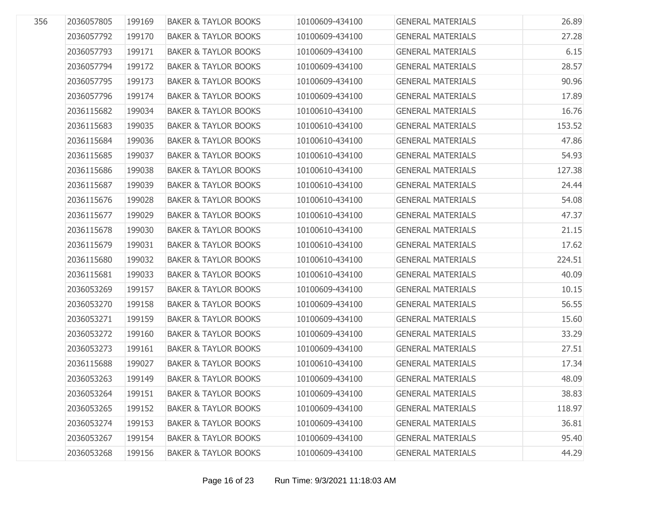| 356 | 2036057805 | 199169 | <b>BAKER &amp; TAYLOR BOOKS</b> | 10100609-434100 | <b>GENERAL MATERIALS</b> | 26.89  |
|-----|------------|--------|---------------------------------|-----------------|--------------------------|--------|
|     | 2036057792 | 199170 | <b>BAKER &amp; TAYLOR BOOKS</b> | 10100609-434100 | <b>GENERAL MATERIALS</b> | 27.28  |
|     | 2036057793 | 199171 | <b>BAKER &amp; TAYLOR BOOKS</b> | 10100609-434100 | <b>GENERAL MATERIALS</b> | 6.15   |
|     | 2036057794 | 199172 | <b>BAKER &amp; TAYLOR BOOKS</b> | 10100609-434100 | <b>GENERAL MATERIALS</b> | 28.57  |
|     | 2036057795 | 199173 | <b>BAKER &amp; TAYLOR BOOKS</b> | 10100609-434100 | <b>GENERAL MATERIALS</b> | 90.96  |
|     | 2036057796 | 199174 | <b>BAKER &amp; TAYLOR BOOKS</b> | 10100609-434100 | <b>GENERAL MATERIALS</b> | 17.89  |
|     | 2036115682 | 199034 | <b>BAKER &amp; TAYLOR BOOKS</b> | 10100610-434100 | <b>GENERAL MATERIALS</b> | 16.76  |
|     | 2036115683 | 199035 | <b>BAKER &amp; TAYLOR BOOKS</b> | 10100610-434100 | <b>GENERAL MATERIALS</b> | 153.52 |
|     | 2036115684 | 199036 | <b>BAKER &amp; TAYLOR BOOKS</b> | 10100610-434100 | <b>GENERAL MATERIALS</b> | 47.86  |
|     | 2036115685 | 199037 | <b>BAKER &amp; TAYLOR BOOKS</b> | 10100610-434100 | <b>GENERAL MATERIALS</b> | 54.93  |
|     | 2036115686 | 199038 | <b>BAKER &amp; TAYLOR BOOKS</b> | 10100610-434100 | <b>GENERAL MATERIALS</b> | 127.38 |
|     | 2036115687 | 199039 | <b>BAKER &amp; TAYLOR BOOKS</b> | 10100610-434100 | <b>GENERAL MATERIALS</b> | 24.44  |
|     | 2036115676 | 199028 | <b>BAKER &amp; TAYLOR BOOKS</b> | 10100610-434100 | <b>GENERAL MATERIALS</b> | 54.08  |
|     | 2036115677 | 199029 | <b>BAKER &amp; TAYLOR BOOKS</b> | 10100610-434100 | <b>GENERAL MATERIALS</b> | 47.37  |
|     | 2036115678 | 199030 | <b>BAKER &amp; TAYLOR BOOKS</b> | 10100610-434100 | <b>GENERAL MATERIALS</b> | 21.15  |
|     | 2036115679 | 199031 | <b>BAKER &amp; TAYLOR BOOKS</b> | 10100610-434100 | <b>GENERAL MATERIALS</b> | 17.62  |
|     | 2036115680 | 199032 | <b>BAKER &amp; TAYLOR BOOKS</b> | 10100610-434100 | <b>GENERAL MATERIALS</b> | 224.51 |
|     | 2036115681 | 199033 | <b>BAKER &amp; TAYLOR BOOKS</b> | 10100610-434100 | <b>GENERAL MATERIALS</b> | 40.09  |
|     | 2036053269 | 199157 | <b>BAKER &amp; TAYLOR BOOKS</b> | 10100609-434100 | <b>GENERAL MATERIALS</b> | 10.15  |
|     | 2036053270 | 199158 | <b>BAKER &amp; TAYLOR BOOKS</b> | 10100609-434100 | <b>GENERAL MATERIALS</b> | 56.55  |
|     | 2036053271 | 199159 | <b>BAKER &amp; TAYLOR BOOKS</b> | 10100609-434100 | <b>GENERAL MATERIALS</b> | 15.60  |
|     | 2036053272 | 199160 | <b>BAKER &amp; TAYLOR BOOKS</b> | 10100609-434100 | <b>GENERAL MATERIALS</b> | 33.29  |
|     | 2036053273 | 199161 | <b>BAKER &amp; TAYLOR BOOKS</b> | 10100609-434100 | <b>GENERAL MATERIALS</b> | 27.51  |
|     | 2036115688 | 199027 | <b>BAKER &amp; TAYLOR BOOKS</b> | 10100610-434100 | <b>GENERAL MATERIALS</b> | 17.34  |
|     | 2036053263 | 199149 | <b>BAKER &amp; TAYLOR BOOKS</b> | 10100609-434100 | <b>GENERAL MATERIALS</b> | 48.09  |
|     | 2036053264 | 199151 | <b>BAKER &amp; TAYLOR BOOKS</b> | 10100609-434100 | <b>GENERAL MATERIALS</b> | 38.83  |
|     | 2036053265 | 199152 | <b>BAKER &amp; TAYLOR BOOKS</b> | 10100609-434100 | <b>GENERAL MATERIALS</b> | 118.97 |
|     | 2036053274 | 199153 | <b>BAKER &amp; TAYLOR BOOKS</b> | 10100609-434100 | <b>GENERAL MATERIALS</b> | 36.81  |
|     | 2036053267 | 199154 | <b>BAKER &amp; TAYLOR BOOKS</b> | 10100609-434100 | <b>GENERAL MATERIALS</b> | 95.40  |
|     | 2036053268 | 199156 | <b>BAKER &amp; TAYLOR BOOKS</b> | 10100609-434100 | <b>GENERAL MATERIALS</b> | 44.29  |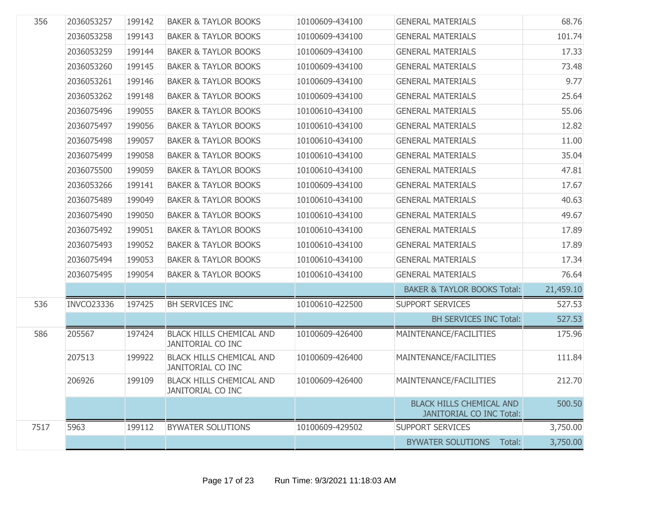| 356  | 2036053257        | 199142 | <b>BAKER &amp; TAYLOR BOOKS</b>                             | 10100609-434100 | <b>GENERAL MATERIALS</b>                                           | 68.76     |
|------|-------------------|--------|-------------------------------------------------------------|-----------------|--------------------------------------------------------------------|-----------|
|      | 2036053258        | 199143 | <b>BAKER &amp; TAYLOR BOOKS</b>                             | 10100609-434100 | <b>GENERAL MATERIALS</b>                                           | 101.74    |
|      | 2036053259        | 199144 | <b>BAKER &amp; TAYLOR BOOKS</b>                             | 10100609-434100 | <b>GENERAL MATERIALS</b>                                           | 17.33     |
|      | 2036053260        | 199145 | <b>BAKER &amp; TAYLOR BOOKS</b>                             | 10100609-434100 | <b>GENERAL MATERIALS</b>                                           | 73.48     |
|      | 2036053261        | 199146 | <b>BAKER &amp; TAYLOR BOOKS</b>                             | 10100609-434100 | <b>GENERAL MATERIALS</b>                                           | 9.77      |
|      | 2036053262        | 199148 | <b>BAKER &amp; TAYLOR BOOKS</b>                             | 10100609-434100 | <b>GENERAL MATERIALS</b>                                           | 25.64     |
|      | 2036075496        | 199055 | <b>BAKER &amp; TAYLOR BOOKS</b>                             | 10100610-434100 | <b>GENERAL MATERIALS</b>                                           | 55.06     |
|      | 2036075497        | 199056 | <b>BAKER &amp; TAYLOR BOOKS</b>                             | 10100610-434100 | <b>GENERAL MATERIALS</b>                                           | 12.82     |
|      | 2036075498        | 199057 | <b>BAKER &amp; TAYLOR BOOKS</b>                             | 10100610-434100 | <b>GENERAL MATERIALS</b>                                           | 11.00     |
|      | 2036075499        | 199058 | <b>BAKER &amp; TAYLOR BOOKS</b>                             | 10100610-434100 | <b>GENERAL MATERIALS</b>                                           | 35.04     |
|      | 2036075500        | 199059 | <b>BAKER &amp; TAYLOR BOOKS</b>                             | 10100610-434100 | <b>GENERAL MATERIALS</b>                                           | 47.81     |
|      | 2036053266        | 199141 | <b>BAKER &amp; TAYLOR BOOKS</b>                             | 10100609-434100 | <b>GENERAL MATERIALS</b>                                           | 17.67     |
|      | 2036075489        | 199049 | <b>BAKER &amp; TAYLOR BOOKS</b>                             | 10100610-434100 | <b>GENERAL MATERIALS</b>                                           | 40.63     |
|      | 2036075490        | 199050 | <b>BAKER &amp; TAYLOR BOOKS</b>                             | 10100610-434100 | <b>GENERAL MATERIALS</b>                                           | 49.67     |
|      | 2036075492        | 199051 | <b>BAKER &amp; TAYLOR BOOKS</b>                             | 10100610-434100 | <b>GENERAL MATERIALS</b>                                           | 17.89     |
|      | 2036075493        | 199052 | <b>BAKER &amp; TAYLOR BOOKS</b>                             | 10100610-434100 | <b>GENERAL MATERIALS</b>                                           | 17.89     |
|      | 2036075494        | 199053 | <b>BAKER &amp; TAYLOR BOOKS</b>                             | 10100610-434100 | <b>GENERAL MATERIALS</b>                                           | 17.34     |
|      | 2036075495        | 199054 | <b>BAKER &amp; TAYLOR BOOKS</b>                             | 10100610-434100 | <b>GENERAL MATERIALS</b>                                           | 76.64     |
|      |                   |        |                                                             |                 | <b>BAKER &amp; TAYLOR BOOKS Total:</b>                             | 21,459.10 |
| 536  | <b>INVCO23336</b> | 197425 | <b>BH SERVICES INC</b>                                      | 10100610-422500 | <b>SUPPORT SERVICES</b>                                            | 527.53    |
|      |                   |        |                                                             |                 | <b>BH SERVICES INC Total:</b>                                      | 527.53    |
| 586  | 205567            | 197424 | <b>BLACK HILLS CHEMICAL AND</b><br><b>JANITORIAL CO INC</b> | 10100609-426400 | MAINTENANCE/FACILITIES                                             | 175.96    |
|      | 207513            | 199922 | <b>BLACK HILLS CHEMICAL AND</b><br>JANITORIAL CO INC        | 10100609-426400 | MAINTENANCE/FACILITIES                                             | 111.84    |
|      | 206926            | 199109 | <b>BLACK HILLS CHEMICAL AND</b><br><b>JANITORIAL CO INC</b> | 10100609-426400 | MAINTENANCE/FACILITIES                                             | 212.70    |
|      |                   |        |                                                             |                 | <b>BLACK HILLS CHEMICAL AND</b><br><b>JANITORIAL CO INC Total:</b> | 500.50    |
| 7517 | 5963              | 199112 | <b>BYWATER SOLUTIONS</b>                                    | 10100609-429502 | <b>SUPPORT SERVICES</b>                                            | 3,750.00  |
|      |                   |        |                                                             |                 | <b>BYWATER SOLUTIONS</b><br>Total:                                 | 3,750.00  |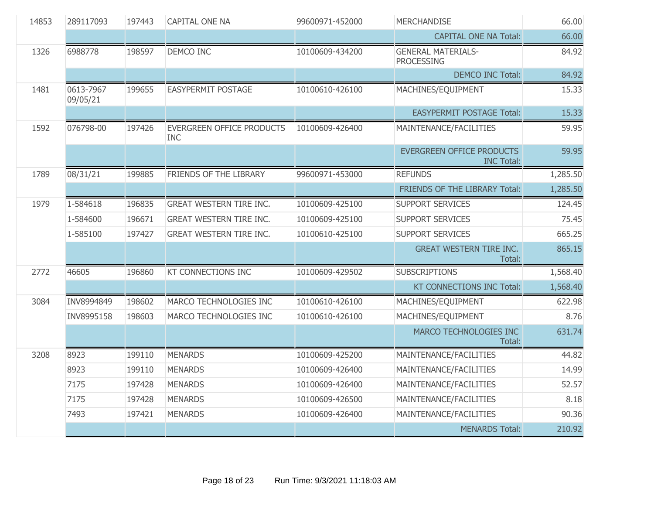| 14853 | 289117093             | 197443 | <b>CAPITAL ONE NA</b>                          | 99600971-452000 | <b>MERCHANDISE</b>                                    | 66.00    |
|-------|-----------------------|--------|------------------------------------------------|-----------------|-------------------------------------------------------|----------|
|       |                       |        |                                                |                 | <b>CAPITAL ONE NA Total:</b>                          | 66.00    |
| 1326  | 6988778               | 198597 | DEMCO INC                                      | 10100609-434200 | <b>GENERAL MATERIALS-</b><br><b>PROCESSING</b>        | 84.92    |
|       |                       |        |                                                |                 | <b>DEMCO INC Total:</b>                               | 84.92    |
| 1481  | 0613-7967<br>09/05/21 | 199655 | <b>EASYPERMIT POSTAGE</b>                      | 10100610-426100 | MACHINES/EQUIPMENT                                    | 15.33    |
|       |                       |        |                                                |                 | <b>EASYPERMIT POSTAGE Total:</b>                      | 15.33    |
| 1592  | 076798-00             | 197426 | <b>EVERGREEN OFFICE PRODUCTS</b><br><b>INC</b> | 10100609-426400 | MAINTENANCE/FACILITIES                                | 59.95    |
|       |                       |        |                                                |                 | <b>EVERGREEN OFFICE PRODUCTS</b><br><b>INC Total:</b> | 59.95    |
| 1789  | 08/31/21              | 199885 | FRIENDS OF THE LIBRARY                         | 99600971-453000 | <b>REFUNDS</b>                                        | 1,285.50 |
|       |                       |        |                                                |                 | FRIENDS OF THE LIBRARY Total:                         | 1,285.50 |
| 1979  | 1-584618              | 196835 | <b>GREAT WESTERN TIRE INC.</b>                 | 10100609-425100 | <b>SUPPORT SERVICES</b>                               | 124.45   |
|       | 1-584600              | 196671 | <b>GREAT WESTERN TIRE INC.</b>                 | 10100609-425100 | <b>SUPPORT SERVICES</b>                               | 75.45    |
|       | 1-585100              | 197427 | <b>GREAT WESTERN TIRE INC.</b>                 | 10100610-425100 | <b>SUPPORT SERVICES</b>                               | 665.25   |
|       |                       |        |                                                |                 | <b>GREAT WESTERN TIRE INC.</b><br>Total:              | 865.15   |
| 2772  | 46605                 | 196860 | <b>KT CONNECTIONS INC</b>                      | 10100609-429502 | <b>SUBSCRIPTIONS</b>                                  | 1,568.40 |
|       |                       |        |                                                |                 | KT CONNECTIONS INC Total:                             | 1,568.40 |
| 3084  | INV8994849            | 198602 | MARCO TECHNOLOGIES INC                         | 10100610-426100 | MACHINES/EQUIPMENT                                    | 622.98   |
|       | INV8995158            | 198603 | MARCO TECHNOLOGIES INC                         | 10100610-426100 | MACHINES/EQUIPMENT                                    | 8.76     |
|       |                       |        |                                                |                 | MARCO TECHNOLOGIES INC<br>Total:                      | 631.74   |
| 3208  | 8923                  | 199110 | <b>MENARDS</b>                                 | 10100609-425200 | MAINTENANCE/FACILITIES                                | 44.82    |
|       | 8923                  | 199110 | <b>MENARDS</b>                                 | 10100609-426400 | MAINTENANCE/FACILITIES                                | 14.99    |
|       | 7175                  | 197428 | <b>MENARDS</b>                                 | 10100609-426400 | MAINTENANCE/FACILITIES                                | 52.57    |
|       | 7175                  | 197428 | <b>MENARDS</b>                                 | 10100609-426500 | MAINTENANCE/FACILITIES                                | 8.18     |
|       | 7493                  | 197421 | <b>MENARDS</b>                                 | 10100609-426400 | MAINTENANCE/FACILITIES                                | 90.36    |
|       |                       |        |                                                |                 | <b>MENARDS Total:</b>                                 | 210.92   |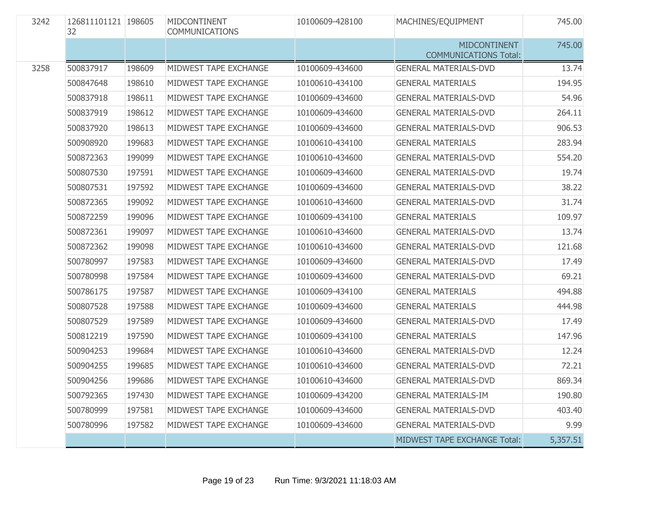| 3242 | 126811101121 198605<br>32 |        | MIDCONTINENT<br><b>COMMUNICATIONS</b> | 10100609-428100 | MACHINES/EQUIPMENT                                  | 745.00   |
|------|---------------------------|--------|---------------------------------------|-----------------|-----------------------------------------------------|----------|
|      |                           |        |                                       |                 | <b>MIDCONTINENT</b><br><b>COMMUNICATIONS Total:</b> | 745.00   |
| 3258 | 500837917                 | 198609 | MIDWEST TAPE EXCHANGE                 | 10100609-434600 | <b>GENERAL MATERIALS-DVD</b>                        | 13.74    |
|      | 500847648                 | 198610 | MIDWEST TAPE EXCHANGE                 | 10100610-434100 | <b>GENERAL MATERIALS</b>                            | 194.95   |
|      | 500837918                 | 198611 | MIDWEST TAPE EXCHANGE                 | 10100609-434600 | <b>GENERAL MATERIALS-DVD</b>                        | 54.96    |
|      | 500837919                 | 198612 | MIDWEST TAPE EXCHANGE                 | 10100609-434600 | <b>GENERAL MATERIALS-DVD</b>                        | 264.11   |
|      | 500837920                 | 198613 | MIDWEST TAPE EXCHANGE                 | 10100609-434600 | <b>GENERAL MATERIALS-DVD</b>                        | 906.53   |
|      | 500908920                 | 199683 | MIDWEST TAPE EXCHANGE                 | 10100610-434100 | <b>GENERAL MATERIALS</b>                            | 283.94   |
|      | 500872363                 | 199099 | MIDWEST TAPE EXCHANGE                 | 10100610-434600 | <b>GENERAL MATERIALS-DVD</b>                        | 554.20   |
|      | 500807530                 | 197591 | MIDWEST TAPE EXCHANGE                 | 10100609-434600 | <b>GENERAL MATERIALS-DVD</b>                        | 19.74    |
|      | 500807531                 | 197592 | MIDWEST TAPE EXCHANGE                 | 10100609-434600 | <b>GENERAL MATERIALS-DVD</b>                        | 38.22    |
|      | 500872365                 | 199092 | MIDWEST TAPE EXCHANGE                 | 10100610-434600 | <b>GENERAL MATERIALS-DVD</b>                        | 31.74    |
|      | 500872259                 | 199096 | MIDWEST TAPE EXCHANGE                 | 10100609-434100 | <b>GENERAL MATERIALS</b>                            | 109.97   |
|      | 500872361                 | 199097 | MIDWEST TAPE EXCHANGE                 | 10100610-434600 | <b>GENERAL MATERIALS-DVD</b>                        | 13.74    |
|      | 500872362                 | 199098 | MIDWEST TAPE EXCHANGE                 | 10100610-434600 | <b>GENERAL MATERIALS-DVD</b>                        | 121.68   |
|      | 500780997                 | 197583 | MIDWEST TAPE EXCHANGE                 | 10100609-434600 | <b>GENERAL MATERIALS-DVD</b>                        | 17.49    |
|      | 500780998                 | 197584 | MIDWEST TAPE EXCHANGE                 | 10100609-434600 | <b>GENERAL MATERIALS-DVD</b>                        | 69.21    |
|      | 500786175                 | 197587 | MIDWEST TAPE EXCHANGE                 | 10100609-434100 | <b>GENERAL MATERIALS</b>                            | 494.88   |
|      | 500807528                 | 197588 | MIDWEST TAPE EXCHANGE                 | 10100609-434600 | <b>GENERAL MATERIALS</b>                            | 444.98   |
|      | 500807529                 | 197589 | MIDWEST TAPE EXCHANGE                 | 10100609-434600 | <b>GENERAL MATERIALS-DVD</b>                        | 17.49    |
|      | 500812219                 | 197590 | MIDWEST TAPE EXCHANGE                 | 10100609-434100 | <b>GENERAL MATERIALS</b>                            | 147.96   |
|      | 500904253                 | 199684 | MIDWEST TAPE EXCHANGE                 | 10100610-434600 | <b>GENERAL MATERIALS-DVD</b>                        | 12.24    |
|      | 500904255                 | 199685 | MIDWEST TAPE EXCHANGE                 | 10100610-434600 | <b>GENERAL MATERIALS-DVD</b>                        | 72.21    |
|      | 500904256                 | 199686 | MIDWEST TAPE EXCHANGE                 | 10100610-434600 | <b>GENERAL MATERIALS-DVD</b>                        | 869.34   |
|      | 500792365                 | 197430 | MIDWEST TAPE EXCHANGE                 | 10100609-434200 | <b>GENERAL MATERIALS-IM</b>                         | 190.80   |
|      | 500780999                 | 197581 | MIDWEST TAPE EXCHANGE                 | 10100609-434600 | <b>GENERAL MATERIALS-DVD</b>                        | 403.40   |
|      | 500780996                 | 197582 | MIDWEST TAPE EXCHANGE                 | 10100609-434600 | <b>GENERAL MATERIALS-DVD</b>                        | 9.99     |
|      |                           |        |                                       |                 | MIDWEST TAPE EXCHANGE Total:                        | 5,357.51 |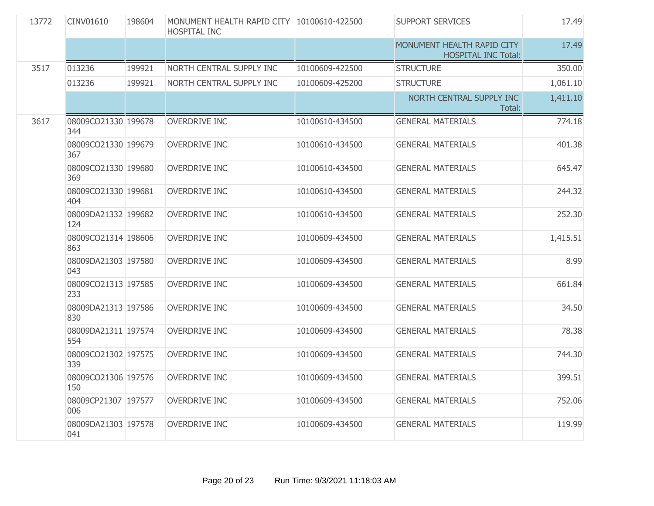| 13772 | CINV01610                  | 198604 | MONUMENT HEALTH RAPID CITY 10100610-422500<br><b>HOSPITAL INC</b> |                 | <b>SUPPORT SERVICES</b>                                  | 17.49    |
|-------|----------------------------|--------|-------------------------------------------------------------------|-----------------|----------------------------------------------------------|----------|
|       |                            |        |                                                                   |                 | MONUMENT HEALTH RAPID CITY<br><b>HOSPITAL INC Total:</b> | 17.49    |
| 3517  | 013236                     | 199921 | NORTH CENTRAL SUPPLY INC                                          | 10100609-422500 | <b>STRUCTURE</b>                                         | 350.00   |
|       | 013236                     | 199921 | NORTH CENTRAL SUPPLY INC                                          | 10100609-425200 | <b>STRUCTURE</b>                                         | 1,061.10 |
|       |                            |        |                                                                   |                 | NORTH CENTRAL SUPPLY INC<br>Total:                       | 1,411.10 |
| 3617  | 08009CO21330 199678<br>344 |        | <b>OVERDRIVE INC</b>                                              | 10100610-434500 | <b>GENERAL MATERIALS</b>                                 | 774.18   |
|       | 08009CO21330 199679<br>367 |        | <b>OVERDRIVE INC</b>                                              | 10100610-434500 | <b>GENERAL MATERIALS</b>                                 | 401.38   |
|       | 08009CO21330 199680<br>369 |        | <b>OVERDRIVE INC</b>                                              | 10100610-434500 | <b>GENERAL MATERIALS</b>                                 | 645.47   |
|       | 08009CO21330 199681<br>404 |        | <b>OVERDRIVE INC</b>                                              | 10100610-434500 | <b>GENERAL MATERIALS</b>                                 | 244.32   |
|       | 08009DA21332 199682<br>124 |        | <b>OVERDRIVE INC</b>                                              | 10100610-434500 | <b>GENERAL MATERIALS</b>                                 | 252.30   |
|       | 08009CO21314 198606<br>863 |        | <b>OVERDRIVE INC</b>                                              | 10100609-434500 | <b>GENERAL MATERIALS</b>                                 | 1,415.51 |
|       | 08009DA21303 197580<br>043 |        | <b>OVERDRIVE INC</b>                                              | 10100609-434500 | <b>GENERAL MATERIALS</b>                                 | 8.99     |
|       | 08009CO21313 197585<br>233 |        | <b>OVERDRIVE INC</b>                                              | 10100609-434500 | <b>GENERAL MATERIALS</b>                                 | 661.84   |
|       | 08009DA21313 197586<br>830 |        | <b>OVERDRIVE INC</b>                                              | 10100609-434500 | <b>GENERAL MATERIALS</b>                                 | 34.50    |
|       | 08009DA21311 197574<br>554 |        | <b>OVERDRIVE INC</b>                                              | 10100609-434500 | <b>GENERAL MATERIALS</b>                                 | 78.38    |
|       | 08009CO21302 197575<br>339 |        | <b>OVERDRIVE INC</b>                                              | 10100609-434500 | <b>GENERAL MATERIALS</b>                                 | 744.30   |
|       | 08009CO21306 197576<br>150 |        | <b>OVERDRIVE INC</b>                                              | 10100609-434500 | <b>GENERAL MATERIALS</b>                                 | 399.51   |
|       | 08009CP21307 197577<br>006 |        | <b>OVERDRIVE INC</b>                                              | 10100609-434500 | <b>GENERAL MATERIALS</b>                                 | 752.06   |
|       | 08009DA21303 197578<br>041 |        | <b>OVERDRIVE INC</b>                                              | 10100609-434500 | <b>GENERAL MATERIALS</b>                                 | 119.99   |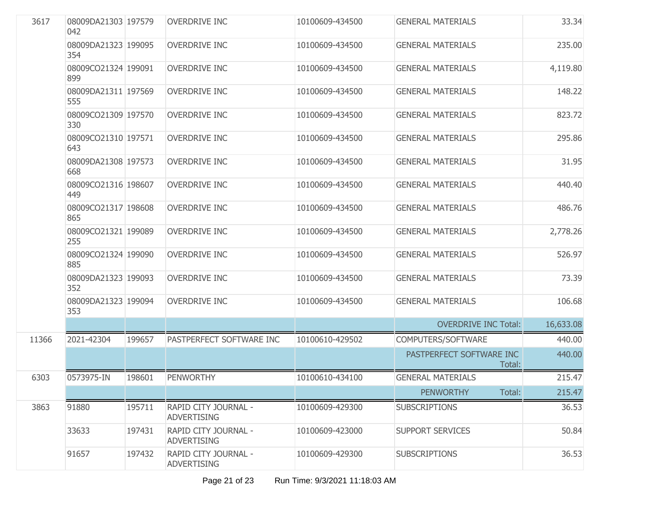| 3617  | 08009DA21303 197579<br>042 |        | <b>OVERDRIVE INC</b>                       | 10100609-434500 | <b>GENERAL MATERIALS</b>           | 33.34     |
|-------|----------------------------|--------|--------------------------------------------|-----------------|------------------------------------|-----------|
|       | 08009DA21323 199095<br>354 |        | <b>OVERDRIVE INC</b>                       | 10100609-434500 | <b>GENERAL MATERIALS</b>           | 235.00    |
|       | 08009CO21324 199091<br>899 |        | <b>OVERDRIVE INC</b>                       | 10100609-434500 | <b>GENERAL MATERIALS</b>           | 4,119.80  |
|       | 08009DA21311 197569<br>555 |        | <b>OVERDRIVE INC</b>                       | 10100609-434500 | <b>GENERAL MATERIALS</b>           | 148.22    |
|       | 08009CO21309 197570<br>330 |        | <b>OVERDRIVE INC</b>                       | 10100609-434500 | <b>GENERAL MATERIALS</b>           | 823.72    |
|       | 08009CO21310 197571<br>643 |        | <b>OVERDRIVE INC</b>                       | 10100609-434500 | <b>GENERAL MATERIALS</b>           | 295.86    |
|       | 08009DA21308 197573<br>668 |        | <b>OVERDRIVE INC</b>                       | 10100609-434500 | <b>GENERAL MATERIALS</b>           | 31.95     |
|       | 08009CO21316 198607<br>449 |        | <b>OVERDRIVE INC</b>                       | 10100609-434500 | <b>GENERAL MATERIALS</b>           | 440.40    |
|       | 08009CO21317 198608<br>865 |        | <b>OVERDRIVE INC</b>                       | 10100609-434500 | <b>GENERAL MATERIALS</b>           | 486.76    |
|       | 08009CO21321 199089<br>255 |        | <b>OVERDRIVE INC</b>                       | 10100609-434500 | <b>GENERAL MATERIALS</b>           | 2,778.26  |
|       | 08009CO21324 199090<br>885 |        | <b>OVERDRIVE INC</b>                       | 10100609-434500 | <b>GENERAL MATERIALS</b>           | 526.97    |
|       | 08009DA21323 199093<br>352 |        | <b>OVERDRIVE INC</b>                       | 10100609-434500 | <b>GENERAL MATERIALS</b>           | 73.39     |
|       | 08009DA21323 199094<br>353 |        | <b>OVERDRIVE INC</b>                       | 10100609-434500 | <b>GENERAL MATERIALS</b>           | 106.68    |
|       |                            |        |                                            |                 | <b>OVERDRIVE INC Total:</b>        | 16,633.08 |
| 11366 | 2021-42304                 | 199657 | PASTPERFECT SOFTWARE INC                   | 10100610-429502 | COMPUTERS/SOFTWARE                 | 440.00    |
|       |                            |        |                                            |                 | PASTPERFECT SOFTWARE INC<br>Total: | 440.00    |
| 6303  | 0573975-IN                 | 198601 | <b>PENWORTHY</b>                           | 10100610-434100 | <b>GENERAL MATERIALS</b>           | 215.47    |
|       |                            |        |                                            |                 | <b>PENWORTHY</b><br>Total:         | 215.47    |
| 3863  | 91880                      | 195711 | RAPID CITY JOURNAL -<br><b>ADVERTISING</b> | 10100609-429300 | <b>SUBSCRIPTIONS</b>               | 36.53     |
|       | 33633                      | 197431 | RAPID CITY JOURNAL -<br><b>ADVERTISING</b> | 10100609-423000 | <b>SUPPORT SERVICES</b>            | 50.84     |
|       | 91657                      | 197432 | RAPID CITY JOURNAL -<br><b>ADVERTISING</b> | 10100609-429300 | <b>SUBSCRIPTIONS</b>               | 36.53     |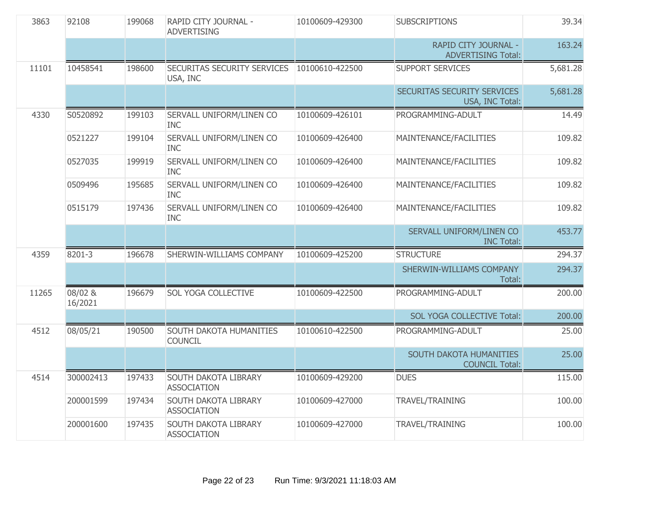| 3863  | 92108              | 199068 | RAPID CITY JOURNAL -<br><b>ADVERTISING</b> | 10100609-429300 | <b>SUBSCRIPTIONS</b>                              | 39.34    |
|-------|--------------------|--------|--------------------------------------------|-----------------|---------------------------------------------------|----------|
|       |                    |        |                                            |                 | RAPID CITY JOURNAL -<br><b>ADVERTISING Total:</b> | 163.24   |
| 11101 | 10458541           | 198600 | SECURITAS SECURITY SERVICES<br>USA, INC    | 10100610-422500 | <b>SUPPORT SERVICES</b>                           | 5,681.28 |
|       |                    |        |                                            |                 | SECURITAS SECURITY SERVICES<br>USA, INC Total:    | 5,681.28 |
| 4330  | S0520892           | 199103 | SERVALL UNIFORM/LINEN CO<br><b>INC</b>     | 10100609-426101 | PROGRAMMING-ADULT                                 | 14.49    |
|       | 0521227            | 199104 | SERVALL UNIFORM/LINEN CO<br><b>INC</b>     | 10100609-426400 | MAINTENANCE/FACILITIES                            | 109.82   |
|       | 0527035            | 199919 | SERVALL UNIFORM/LINEN CO<br><b>INC</b>     | 10100609-426400 | MAINTENANCE/FACILITIES                            | 109.82   |
|       | 0509496            | 195685 | SERVALL UNIFORM/LINEN CO<br><b>INC</b>     | 10100609-426400 | MAINTENANCE/FACILITIES                            | 109.82   |
|       | 0515179            | 197436 | SERVALL UNIFORM/LINEN CO<br><b>INC</b>     | 10100609-426400 | MAINTENANCE/FACILITIES                            | 109.82   |
|       |                    |        |                                            |                 | SERVALL UNIFORM/LINEN CO<br><b>INC Total:</b>     | 453.77   |
| 4359  | 8201-3             | 196678 | SHERWIN-WILLIAMS COMPANY                   | 10100609-425200 | <b>STRUCTURE</b>                                  | 294.37   |
|       |                    |        |                                            |                 | SHERWIN-WILLIAMS COMPANY<br>Total:                | 294.37   |
| 11265 | 08/02 &<br>16/2021 | 196679 | SOL YOGA COLLECTIVE                        | 10100609-422500 | PROGRAMMING-ADULT                                 | 200.00   |
|       |                    |        |                                            |                 | SOL YOGA COLLECTIVE Total:                        | 200.00   |
| 4512  | 08/05/21           | 190500 | SOUTH DAKOTA HUMANITIES<br><b>COUNCIL</b>  | 10100610-422500 | PROGRAMMING-ADULT                                 | 25.00    |
|       |                    |        |                                            |                 | SOUTH DAKOTA HUMANITIES<br><b>COUNCIL Total:</b>  | 25.00    |
| 4514  | 300002413          | 197433 | SOUTH DAKOTA LIBRARY<br><b>ASSOCIATION</b> | 10100609-429200 | <b>DUES</b>                                       | 115.00   |
|       | 200001599          | 197434 | SOUTH DAKOTA LIBRARY<br><b>ASSOCIATION</b> | 10100609-427000 | TRAVEL/TRAINING                                   | 100.00   |
|       | 200001600          | 197435 | SOUTH DAKOTA LIBRARY<br><b>ASSOCIATION</b> | 10100609-427000 | TRAVEL/TRAINING                                   | 100.00   |